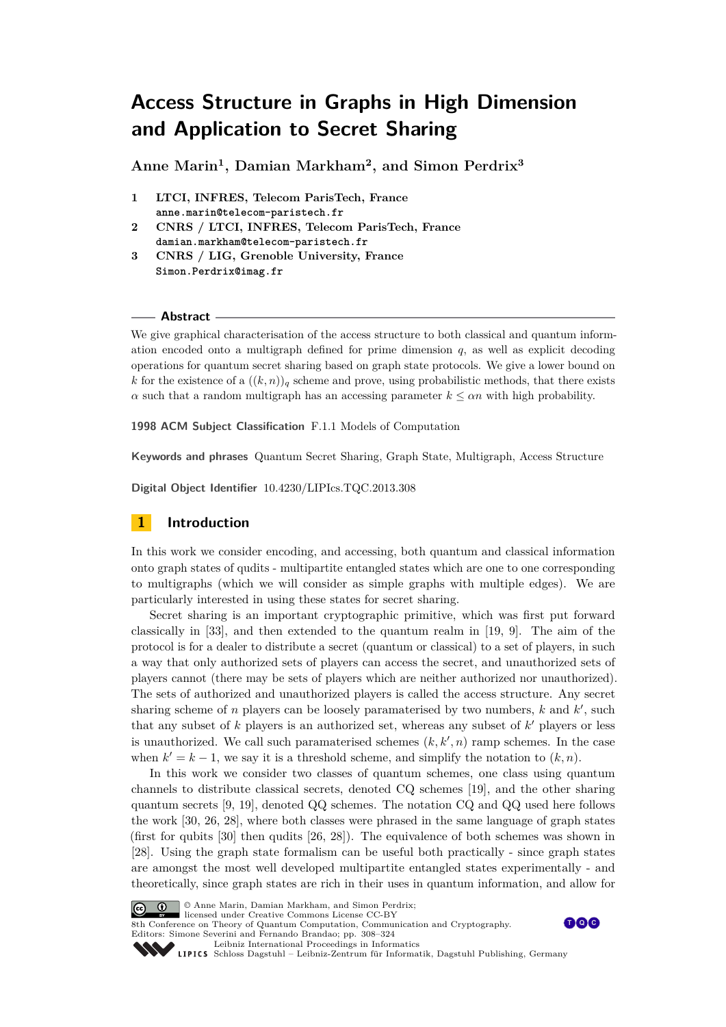**Anne Marin<sup>1</sup> , Damian Markham<sup>2</sup> , and Simon Perdrix<sup>3</sup>**

- **1 LTCI, INFRES, Telecom ParisTech, France anne.marin@telecom-paristech.fr**
- **2 CNRS / LTCI, INFRES, Telecom ParisTech, France damian.markham@telecom-paristech.fr**
- **3 CNRS / LIG, Grenoble University, France Simon.Perdrix@imag.fr**

#### **Abstract**

We give graphical characterisation of the access structure to both classical and quantum information encoded onto a multigraph defined for prime dimension  $q$ , as well as explicit decoding operations for quantum secret sharing based on graph state protocols. We give a lower bound on *k* for the existence of a  $((k, n))_q$  scheme and prove, using probabilistic methods, that there exists *α* such that a random multigraph has an accessing parameter  $k \leq \alpha n$  with high probability.

**1998 ACM Subject Classification** F.1.1 Models of Computation

**Keywords and phrases** Quantum Secret Sharing, Graph State, Multigraph, Access Structure

**Digital Object Identifier** [10.4230/LIPIcs.TQC.2013.308](http://dx.doi.org/10.4230/LIPIcs.TQC.2013.308)

## **1 Introduction**

In this work we consider encoding, and accessing, both quantum and classical information onto graph states of qudits - multipartite entangled states which are one to one corresponding to multigraphs (which we will consider as simple graphs with multiple edges). We are particularly interested in using these states for secret sharing.

Secret sharing is an important cryptographic primitive, which was first put forward classically in [\[33\]](#page-15-0), and then extended to the quantum realm in [\[19,](#page-14-0) [9\]](#page-14-1). The aim of the protocol is for a dealer to distribute a secret (quantum or classical) to a set of players, in such a way that only authorized sets of players can access the secret, and unauthorized sets of players cannot (there may be sets of players which are neither authorized nor unauthorized). The sets of authorized and unauthorized players is called the access structure. Any secret sharing scheme of *n* players can be loosely paramaterised by two numbers,  $k$  and  $k'$ , such that any subset of  $k$  players is an authorized set, whereas any subset of  $k'$  players or less is unauthorized. We call such paramaterised schemes  $(k, k', n)$  ramp schemes. In the case when  $k' = k - 1$ , we say it is a threshold scheme, and simplify the notation to  $(k, n)$ .

In this work we consider two classes of quantum schemes, one class using quantum channels to distribute classical secrets, denoted CQ schemes [\[19\]](#page-14-0), and the other sharing quantum secrets [\[9,](#page-14-1) [19\]](#page-14-0), denoted QQ schemes. The notation CQ and QQ used here follows the work [\[30,](#page-15-1) [26,](#page-15-2) [28\]](#page-15-3), where both classes were phrased in the same language of graph states (first for qubits [\[30\]](#page-15-1) then qudits [\[26,](#page-15-2) [28\]](#page-15-3)). The equivalence of both schemes was shown in [\[28\]](#page-15-3). Using the graph state formalism can be useful both practically - since graph states are amongst the most well developed multipartite entangled states experimentally - and theoretically, since graph states are rich in their uses in quantum information, and allow for



© Anne Marin, Damian Markham, and Simon Perdrix;





[Leibniz International Proceedings in Informatics](http://www.dagstuhl.de/lipics/)

Leibniz international Froceedings in informatik, Dagstuhl Publishing, Germany<br>LIPICS [Schloss Dagstuhl – Leibniz-Zentrum für Informatik, Dagstuhl Publishing, Germany](http://www.dagstuhl.de)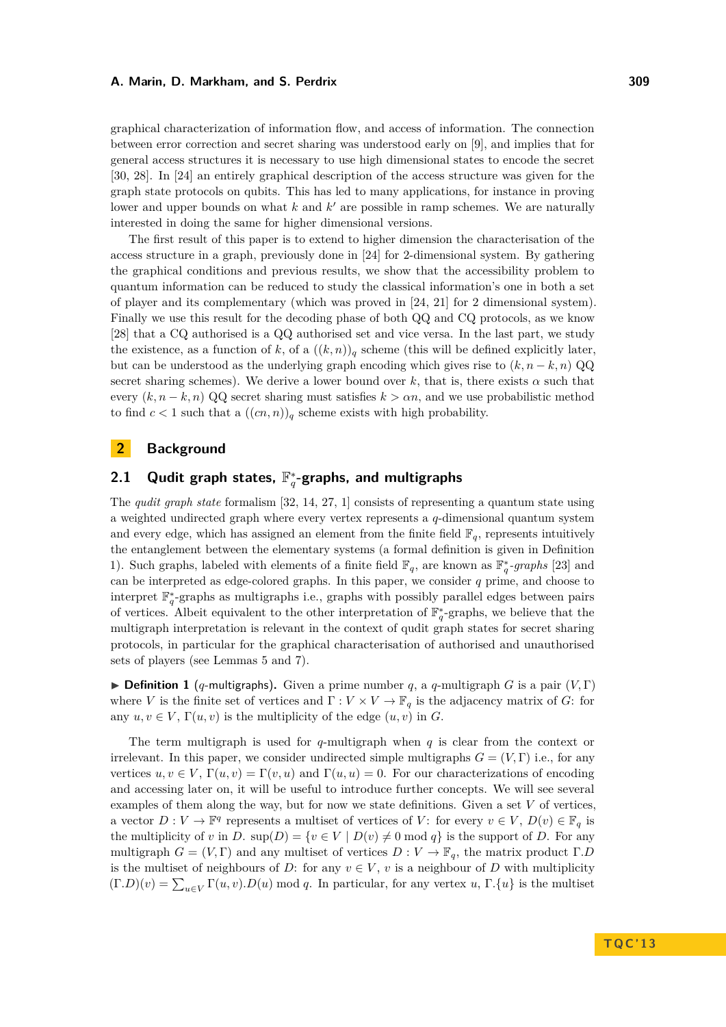graphical characterization of information flow, and access of information. The connection between error correction and secret sharing was understood early on [\[9\]](#page-14-1), and implies that for general access structures it is necessary to use high dimensional states to encode the secret [\[30,](#page-15-1) [28\]](#page-15-3). In [\[24\]](#page-15-4) an entirely graphical description of the access structure was given for the graph state protocols on qubits. This has led to many applications, for instance in proving lower and upper bounds on what  $k$  and  $k'$  are possible in ramp schemes. We are naturally interested in doing the same for higher dimensional versions.

The first result of this paper is to extend to higher dimension the characterisation of the access structure in a graph, previously done in [\[24\]](#page-15-4) for 2-dimensional system. By gathering the graphical conditions and previous results, we show that the accessibility problem to quantum information can be reduced to study the classical information's one in both a set of player and its complementary (which was proved in [\[24,](#page-15-4) [21\]](#page-14-2) for 2 dimensional system). Finally we use this result for the decoding phase of both QQ and CQ protocols, as we know [\[28\]](#page-15-3) that a CQ authorised is a QQ authorised set and vice versa. In the last part, we study the existence, as a function of k, of a  $((k, n))_q$  scheme (this will be defined explicitly later, but can be understood as the underlying graph encoding which gives rise to  $(k, n - k, n)$  QQ secret sharing schemes). We derive a lower bound over  $k$ , that is, there exists  $\alpha$  such that every  $(k, n - k, n)$  QQ secret sharing must satisfies  $k > \alpha n$ , and we use probabilistic method to find  $c < 1$  such that a  $((cn, n))_q$  scheme exists with high probability.

## **2 Background**

## **2.1 Qudit graph states,** F ∗ *q* **-graphs, and multigraphs**

The *qudit graph state* formalism [\[32,](#page-15-5) [14,](#page-14-3) [27,](#page-15-6) [1\]](#page-14-4) consists of representing a quantum state using a weighted undirected graph where every vertex represents a *q*-dimensional quantum system and every edge, which has assigned an element from the finite field  $\mathbb{F}_q$ , represents intuitively the entanglement between the elementary systems (a formal definition is given in Definition [1\)](#page-1-0). Such graphs, labeled with elements of a finite field  $\mathbb{F}_q$ , are known as  $\mathbb{F}_q^*$ -graphs [\[23\]](#page-15-7) and can be interpreted as edge-colored graphs. In this paper, we consider *q* prime, and choose to interpret  $\mathbb{F}_q^*$ -graphs as multigraphs i.e., graphs with possibly parallel edges between pairs of vertices. Albeit equivalent to the other interpretation of  $\mathbb{F}_q^*$ -graphs, we believe that the multigraph interpretation is relevant in the context of qudit graph states for secret sharing protocols, in particular for the graphical characterisation of authorised and unauthorised sets of players (see Lemmas [5](#page-4-0) and [7\)](#page-5-0).

<span id="page-1-0"></span>**Definition 1** (*q*-multigraphs). Given a prime number *q*, a *q*-multigraph *G* is a pair  $(V, \Gamma)$ where *V* is the finite set of vertices and  $\Gamma: V \times V \to \mathbb{F}_q$  is the adjacency matrix of *G*: for any  $u, v \in V$ ,  $\Gamma(u, v)$  is the multiplicity of the edge  $(u, v)$  in *G*.

The term multigraph is used for *q*-multigraph when *q* is clear from the context or irrelevant. In this paper, we consider undirected simple multigraphs  $G = (V, \Gamma)$  i.e., for any vertices  $u, v \in V$ ,  $\Gamma(u, v) = \Gamma(v, u)$  and  $\Gamma(u, u) = 0$ . For our characterizations of encoding and accessing later on, it will be useful to introduce further concepts. We will see several examples of them along the way, but for now we state definitions. Given a set  $V$  of vertices, a vector  $D: V \to \mathbb{F}^q$  represents a multiset of vertices of *V*: for every  $v \in V$ ,  $D(v) \in \mathbb{F}_q$  is the multiplicity of *v* in *D*.  $\sup(D) = \{v \in V \mid D(v) \neq 0 \text{ mod } q\}$  is the support of *D*. For any multigraph  $G = (V, \Gamma)$  and any multiset of vertices  $D: V \to \mathbb{F}_q$ , the matrix product  $\Gamma.D$ is the multiset of neighbours of *D*: for any  $v \in V$ , *v* is a neighbour of *D* with multiplicity  $(\Gamma.D)(v) = \sum_{u \in V} \Gamma(u, v) \cdot D(u)$  mod *q*. In particular, for any vertex *u*,  $\Gamma.\{u\}$  is the multiset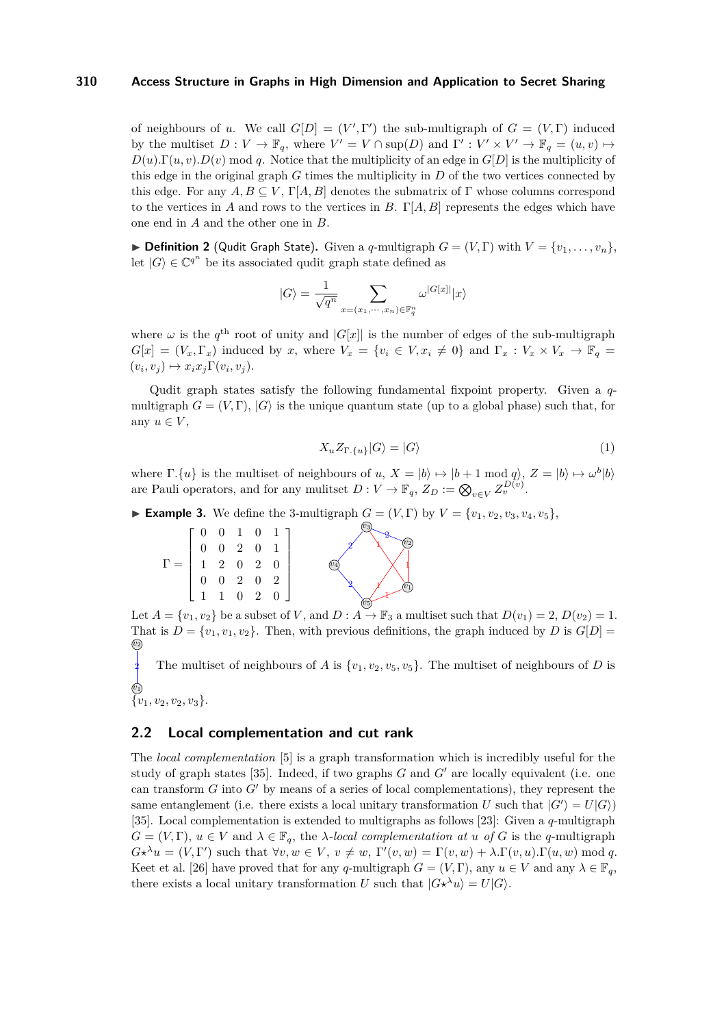of neighbours of *u*. We call  $G[D] = (V', \Gamma')$  the sub-multigraph of  $G = (V, \Gamma)$  induced by the multiset  $D: V \to \mathbb{F}_q$ , where  $V' = V \cap \text{sup}(D)$  and  $\Gamma' : V' \times V' \to \mathbb{F}_q = (u, v) \mapsto$  $D(u)$ . Γ(*u, v*).  $D(v)$  mod *q*. Notice that the multiplicity of an edge in  $G[D]$  is the multiplicity of this edge in the original graph *G* times the multiplicity in *D* of the two vertices connected by this edge. For any  $A, B \subseteq V$ ,  $\Gamma[A, B]$  denotes the submatrix of  $\Gamma$  whose columns correspond to the vertices in *A* and rows to the vertices in *B*. Γ[*A, B*] represents the edges which have one end in *A* and the other one in *B*.

 $\triangleright$  **Definition 2** (Qudit Graph State). Given a *q*-multigraph  $G = (V, \Gamma)$  with  $V = \{v_1, \ldots, v_n\}$ , let  $|G\rangle \in \mathbb{C}^{q^n}$  be its associated qudit graph state defined as

$$
|G\rangle=\frac{1}{\sqrt{q^n}}\sum_{x=(x_1,\cdots,x_n)\in\mathbb{F}_q^n}\omega^{|G[x]|}|x\rangle
$$

where  $\omega$  is the  $q^{\text{th}}$  root of unity and  $|G[x]|$  is the number of edges of the sub-multigraph  $G[x] = (V_x, \Gamma_x)$  induced by *x*, where  $V_x = \{v_i \in V, x_i \neq 0\}$  and  $\Gamma_x : V_x \times V_x \to \mathbb{F}_q$  $(v_i, v_j) \mapsto x_i x_j \Gamma(v_i, v_j).$ 

<span id="page-2-0"></span>Qudit graph states satisfy the following fundamental fixpoint property. Given a *q*multigraph  $G = (V, \Gamma)$ ,  $|G\rangle$  is the unique quantum state (up to a global phase) such that, for any  $u \in V$ ,

$$
X_u Z_{\Gamma,\{u\}} |G\rangle = |G\rangle \tag{1}
$$

where  $\Gamma$ *.*{*u*} is the multiset of neighbours of *u*,  $X = |b\rangle \mapsto |b+1 \mod q\rangle$ ,  $Z = |b\rangle \mapsto \omega^b |b\rangle$ are Pauli operators, and for any mulitset  $D: V \to \mathbb{F}_q$ ,  $Z_D := \bigotimes_{v \in V} Z_v^{D(v)}$ .

*v*3

1 2

► **Example 3.** We define the 3-multigraph  $G = (V, \Gamma)$  by  $V = \{v_1, v_2, v_3, v_4, v_5\}$ ,

*v*4

|  |  | $\begin{array}{cccc} 0 & 0 & 1 & 0 & 1 \\ 0 & 0 & 2 & 0 & 1 \\ 1 & 2 & 0 & 2 & 0 \\ 0 & 0 & 2 & 0 & 2 \\ 1 & 1 & 0 & 2 & 0 \end{array}$ |  |
|--|--|-----------------------------------------------------------------------------------------------------------------------------------------|--|
|  |  |                                                                                                                                         |  |
|  |  |                                                                                                                                         |  |

Let  $A = \{v_1, v_2\}$  be a subset of *V*, and  $D : A \rightarrow \mathbb{F}_3$  a multiset such that  $D(v_1) = 2, D(v_2) = 1$ . That is  $D = \{v_1, v_1, v_2\}$ . Then, with previous definitions, the graph induced by *D* is  $G[D] =$ *v*2

 $\ddot{ }$  $\chi$ 

 $\widehat{v_1}$ 

1

*v*2

*v*5

2

2

 $\widehat{v_1}$ The multiset of neighbours of *A* is  $\{v_1, v_2, v_5, v_5\}$ . The multiset of neighbours of *D* is

 $\{v_1, v_2, v_2, v_3\}.$ 

## **2.2 Local complementation and cut rank**

The *local complementation* [\[5\]](#page-14-5) is a graph transformation which is incredibly useful for the study of graph states  $[35]$ . Indeed, if two graphs *G* and *G'* are locally equivalent (i.e. one can transform  $G$  into  $G'$  by means of a series of local complementations), they represent the same entanglement (i.e. there exists a local unitary transformation *U* such that  $|G'\rangle = U|G\rangle$ ) [\[35\]](#page-15-8). Local complementation is extended to multigraphs as follows [\[23\]](#page-15-7): Given a *q*-multigraph  $G = (V, \Gamma), u \in V$  and  $\lambda \in \mathbb{F}_q$ , the *λ-local complementation at u of G* is the *q*-multigraph  $G\star^{\lambda}u = (V, \Gamma')$  such that  $\forall v, w \in V, v \neq w, \Gamma'(v, w) = \Gamma(v, w) + \lambda \Gamma(v, u) \Gamma(u, w) \text{ mod } q.$ Keet et al. [\[26\]](#page-15-2) have proved that for any *q*-multigraph  $G = (V, \Gamma)$ , any  $u \in V$  and any  $\lambda \in \mathbb{F}_q$ , there exists a local unitary transformation *U* such that  $|G \star^{\lambda} u\rangle = U|G\rangle$ .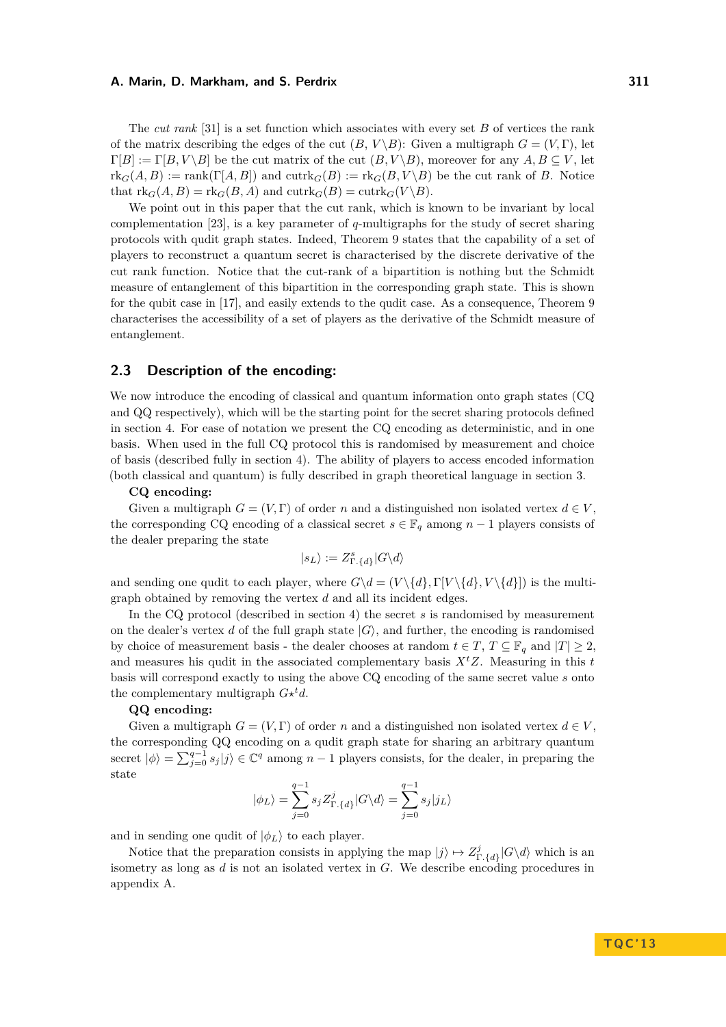The *cut rank* [\[31\]](#page-15-9) is a set function which associates with every set *B* of vertices the rank of the matrix describing the edges of the cut  $(B, V \ B)$ : Given a multigraph  $G = (V, \Gamma)$ , let  $\Gamma[B] := \Gamma[B, V \setminus B]$  be the cut matrix of the cut  $(B, V \setminus B)$ , moreover for any  $A, B \subseteq V$ , let  ${\rm rk}_G(A, B) := {\rm rank}(\Gamma[A, B])$  and  ${\rm cutr}_G(B) := {\rm rk}_G(B, V \setminus B)$  be the cut rank of *B*. Notice that  $\text{rk}_G(A, B) = \text{rk}_G(B, A)$  and  $\text{cutrk}_G(B) = \text{cutrk}_G(V \backslash B).$ 

We point out in this paper that the cut rank, which is known to be invariant by local complementation [\[23\]](#page-15-7), is a key parameter of *q*-multigraphs for the study of secret sharing protocols with qudit graph states. Indeed, Theorem [9](#page-6-0) states that the capability of a set of players to reconstruct a quantum secret is characterised by the discrete derivative of the cut rank function. Notice that the cut-rank of a bipartition is nothing but the Schmidt measure of entanglement of this bipartition in the corresponding graph state. This is shown for the qubit case in [\[17\]](#page-14-6), and easily extends to the qudit case. As a consequence, Theorem [9](#page-6-0) characterises the accessibility of a set of players as the derivative of the Schmidt measure of entanglement.

## <span id="page-3-0"></span>**2.3 Description of the encoding:**

We now introduce the encoding of classical and quantum information onto graph states (CQ and QQ respectively), which will be the starting point for the secret sharing protocols defined in section [4.](#page-6-1) For ease of notation we present the CQ encoding as deterministic, and in one basis. When used in the full CQ protocol this is randomised by measurement and choice of basis (described fully in section [4\)](#page-6-1). The ability of players to access encoded information (both classical and quantum) is fully described in graph theoretical language in section [3.](#page-4-1)

#### **CQ encoding:**

Given a multigraph  $G = (V, \Gamma)$  of order *n* and a distinguished non isolated vertex  $d \in V$ . the corresponding CQ encoding of a classical secret  $s \in \mathbb{F}_q$  among  $n-1$  players consists of the dealer preparing the state

$$
|s_L\rangle:=Z^s_{\Gamma.\{d\}}|G\backslash d\rangle
$$

and sending one qudit to each player, where  $G\{d} = (V \{d\}, \Gamma[V \{d\}, V \{d\}])$  is the multigraph obtained by removing the vertex *d* and all its incident edges.

In the CQ protocol (described in section [4\)](#page-6-1) the secret *s* is randomised by measurement on the dealer's vertex *d* of the full graph state  $|G\rangle$ , and further, the encoding is randomised by choice of measurement basis - the dealer chooses at random  $t \in T$ ,  $T \subseteq \mathbb{F}_q$  and  $|T| \geq 2$ , and measures his qudit in the associated complementary basis  $X<sup>t</sup>Z$ . Measuring in this *t* basis will correspond exactly to using the above CQ encoding of the same secret value *s* onto the complementary multigraph  $G*^td$ .

#### **QQ encoding:**

Given a multigraph  $G = (V, \Gamma)$  of order *n* and a distinguished non isolated vertex  $d \in V$ , the corresponding QQ encoding on a qudit graph state for sharing an arbitrary quantum secret  $|\phi\rangle = \sum_{j=0}^{q-1} s_j |j\rangle \in \mathbb{C}^q$  among  $n-1$  players consists, for the dealer, in preparing the state

$$
|\phi_L\rangle = \sum_{j=0}^{q-1} s_j Z_{\Gamma.\{d\}}^j |G \backslash d\rangle = \sum_{j=0}^{q-1} s_j |j_L\rangle
$$

and in sending one qudit of  $|\phi_L\rangle$  to each player.

Notice that the preparation consists in applying the map  $|j\rangle \mapsto Z_{\text{r}}^{j}$  $\int_{\Gamma_{\cdot}}^{J} |G \rangle d\rangle$  which is an isometry as long as *d* is not an isolated vertex in *G*. We describe encoding procedures in appendix [A.](#page-15-10)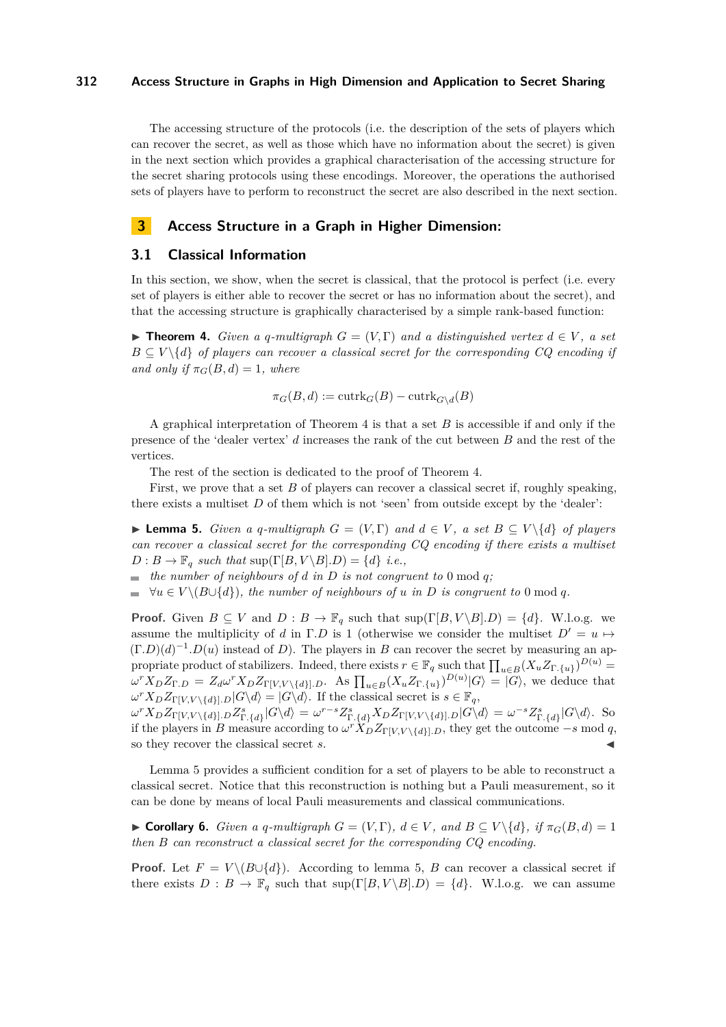The accessing structure of the protocols (i.e. the description of the sets of players which can recover the secret, as well as those which have no information about the secret) is given in the next section which provides a graphical characterisation of the accessing structure for the secret sharing protocols using these encodings. Moreover, the operations the authorised sets of players have to perform to reconstruct the secret are also described in the next section.

## <span id="page-4-1"></span>**3 Access Structure in a Graph in Higher Dimension:**

#### **3.1 Classical Information**

In this section, we show, when the secret is classical, that the protocol is perfect (i.e. every set of players is either able to recover the secret or has no information about the secret), and that the accessing structure is graphically characterised by a simple rank-based function:

<span id="page-4-2"></span>**► Theorem 4.** *Given a q-multigraph*  $G = (V, \Gamma)$  *and a distinguished vertex*  $d \in V$ , *a set*  $B \subseteq V \setminus \{d\}$  *of players can recover a classical secret for the corresponding CQ encoding if and only if*  $\pi_G(B,d) = 1$ *, where* 

$$
\pi_G(B, d) := \operatorname{cutrk}_G(B) - \operatorname{cutrk}_{G \setminus d}(B)
$$

A graphical interpretation of Theorem [4](#page-4-2) is that a set *B* is accessible if and only if the presence of the 'dealer vertex' *d* increases the rank of the cut between *B* and the rest of the vertices.

The rest of the section is dedicated to the proof of Theorem [4.](#page-4-2)

First, we prove that a set *B* of players can recover a classical secret if, roughly speaking, there exists a multiset *D* of them which is not 'seen' from outside except by the 'dealer':

<span id="page-4-0"></span>► **Lemma 5.** *Given a q-multigraph*  $G = (V, \Gamma)$  *and*  $d \in V$ , *a set*  $B \subseteq V \setminus \{d\}$  *of players can recover a classical secret for the corresponding CQ encoding if there exists a multiset*  $D: B \to \mathbb{F}_q$  *such that*  $\sup(\Gamma[B, V \setminus B], D) = \{d\}$  *i.e.,* 

 $\blacksquare$  *the number of neighbours of d in D is not congruent to* 0 mod *q*;

 $\forall u \in V \setminus (B \cup \{d\})$ , the number of neighbours of *u* in *D* is congruent to 0 mod *q*.

**Proof.** Given  $B \subseteq V$  and  $D : B \to \mathbb{F}_q$  such that  $\sup(\Gamma[B, V \setminus B], D) = \{d\}$ . W.l.o.g. we assume the multiplicity of *d* in Γ.*D* is 1 (otherwise we consider the multiset  $D' = u \mapsto$  $(\Gamma.D)(d)^{-1}.D(u)$  instead of *D*). The players in *B* can recover the secret by measuring an appropriate product of stabilizers. Indeed, there exists  $r \in \mathbb{F}_q$  such that  $\prod_{u \in B} (X_u Z_{\Gamma, \{u\}})^{D(u)} =$  $\omega^{r} X_D Z_{\Gamma,D} = Z_d \omega^{r} X_D Z_{\Gamma[V,V \setminus \{d\}],D}$ . As  $\prod_{u \in B} (X_u Z_{\Gamma,\{u\}})^{D(u)} |G\rangle = |G\rangle$ , we deduce that  $\omega^r X_D Z_{\Gamma[V,V \setminus \{d\}]}$ *.D*|*G*\*d*<sub>i</sub> = |*G*\*d*<sub>i</sub>. If the classical secret is  $s \in \mathbb{F}_q$ ,

 $\omega^{r} X_D Z_{\Gamma[V,V\setminus\{d\}],D} Z_{\Gamma,\{d\}}^{s} |G \setminus d\rangle = \omega^{r-s} Z_{\Gamma,\{d\}}^{s} X_D Z_{\Gamma[V,V\setminus\{d\}],D} |G \setminus d\rangle = \omega^{-s} Z_{\Gamma,\{d\}}^{s} |G \setminus d\rangle.$  So if the players in *B* measure according to  $\omega^r X_D Z_{\Gamma[V,V \setminus \{d\}], D}$ , they get the outcome  $-s$  mod *q*, so they recover the classical secret *s*.

Lemma [5](#page-4-0) provides a sufficient condition for a set of players to be able to reconstruct a classical secret. Notice that this reconstruction is nothing but a Pauli measurement, so it can be done by means of local Pauli measurements and classical communications.

<span id="page-4-3"></span>► Corollary 6. *Given a q-multigraph*  $G = (V, \Gamma)$ *,*  $d \in V$ *, and*  $B \subseteq V \setminus \{d\}$ *, if*  $\pi_G(B, d) = 1$ *then B can reconstruct a classical secret for the corresponding CQ encoding.*

**Proof.** Let  $F = V \setminus (B \cup \{d\})$ . According to lemma [5,](#page-4-0) *B* can recover a classical secret if there exists  $D : B \to \mathbb{F}_q$  such that  $\sup(\Gamma[B, V \setminus B].D) = \{d\}$ . W.l.o.g. we can assume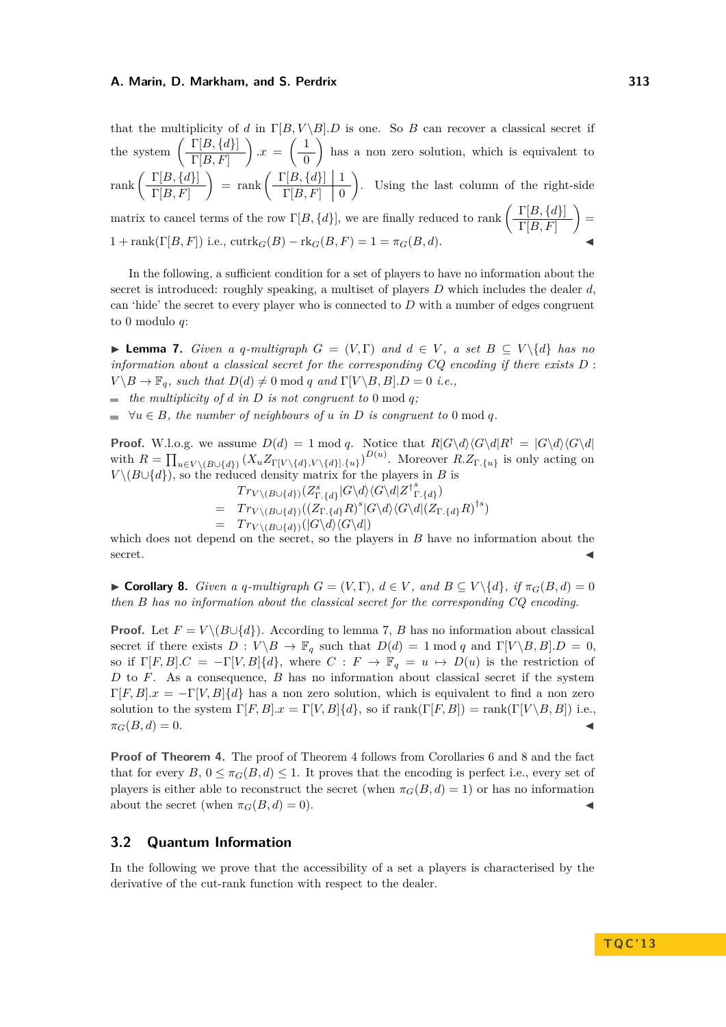that the multiplicity of *d* in  $\Gamma[B, V \setminus B]$ . *D* is one. So *B* can recover a classical secret if the system  $\left( \frac{\Gamma[B,\{d\}]}{\Gamma[B,\Gamma]}\right)$  $\Gamma[B,F]$  $\left( \frac{1}{2} \right)$   $\cdot x = \left( \frac{1}{2} \right)$ 0 has a non zero solution, which is equivalent to  $rank\left(\frac{\Gamma[B,\lbrace d\rbrace]}{\Gamma[B,\Gamma]}\right)$  $\Gamma[B,F]$  $=$  rank  $\left(\frac{\Gamma[B,\{d\}]}{\Gamma[B,\Gamma]]}\right)$  $\Gamma[B,F] \;\; \mid 0$ . Using the last column of the right-side

matrix to cancel terms of the row  $\Gamma[B, \{d\}]$ , we are finally reduced to rank  $\left(\begin{array}{c}\Gamma[B, \{d\}]\end{array}\right)$  $\Gamma[B,F]$  $\cdot$  =  $1 + \text{rank}(\Gamma[B, F])$  i.e.,  $\text{cutrk}_G(B) - \text{rk}_G(B, F) = 1 = \pi_G(B, d).$ 

In the following, a sufficient condition for a set of players to have no information about the secret is introduced: roughly speaking, a multiset of players *D* which includes the dealer *d*, can 'hide' the secret to every player who is connected to *D* with a number of edges congruent to 0 modulo *q*:

<span id="page-5-0"></span>**► Lemma 7.** *Given a q-multigraph*  $G = (V, \Gamma)$  *and*  $d \in V$ , *a set*  $B \subseteq V \setminus \{d\}$  *has no information about a classical secret for the corresponding CQ encoding if there exists D* :  $V \setminus B \to \mathbb{F}_q$ *, such that*  $D(d) \neq 0 \text{ mod } q$  *and*  $\Gamma[V \setminus B, B]$ *.D* = 0 *i.e.*,

 $\blacksquare$  *the multiplicity of d in D is not congruent to* 0 mod *q*;

 $\forall u \in B$ , the number of neighbours of *u* in *D* is congruent to 0 mod *q*.

**Proof.** W.l.o.g. we assume  $D(d) = 1 \text{ mod } q$ . Notice that  $R|G\backslash d\setminus \langle G\backslash d|R^{\dagger} = |G\backslash d\setminus \langle G\backslash d|$ with  $R = \prod_{u \in V \backslash (B \cup \{d\})} (X_u Z_{\Gamma[V \backslash \{d\}, V \backslash \{d\}].\{u\}})^{D(u)}$ . Moreover  $R.Z_{\Gamma.\{u\}}$  is only acting on  $V \setminus (B \cup \{d\})$ , so the reduced density matrix for the players in *B* is

$$
Tr_{V \setminus (B \cup \{d\})}(Z_{\Gamma \cdot \{d\}}^s | G \setminus d) \langle G \setminus d | Z^{\dagger}{}_{\Gamma \cdot \{d\}})
$$
\n
$$
= Tr_{V \setminus (B \cup \{d\})}((Z_{\Gamma \cdot \{d\}} R)^s | G \setminus d) \langle G \setminus d | (Z_{\Gamma \cdot \{d\}} R)^{\dagger s})
$$
\n
$$
= Tr_{V \setminus (B \cup \{d\})}(|G \setminus d \setminus (G \setminus d|)
$$

which does not depend on the secret, so the players in *B* have no information about the  $\blacksquare$ secret.

<span id="page-5-1"></span>► Corollary 8. *Given a q-multigraph*  $G = (V, \Gamma)$ ,  $d \in V$ , and  $B \subseteq V \setminus \{d\}$ , if  $\pi_G(B, d) = 0$ *then B has no information about the classical secret for the corresponding CQ encoding.*

**Proof.** Let  $F = V \setminus (B \cup \{d\})$ . According to lemma [7,](#page-5-0) *B* has no information about classical secret if there exists  $D: V \ B \to \mathbb{F}_q$  such that  $D(d) = 1 \text{ mod } q$  and  $\Gamma[V \ B, B] \ D = 0$ , so if  $\Gamma[F, B] \cdot C = -\Gamma[V, B] \{d\}$ , where  $C : F \to \mathbb{F}_q = u \mapsto D(u)$  is the restriction of *D* to *F*. As a consequence, *B* has no information about classical secret if the system  $\Gamma[F, B] \cdot x = -\Gamma[V, B] \cdot \{d\}$  has a non zero solution, which is equivalent to find a non zero solution to the system  $\Gamma[F, B] \cdot x = \Gamma[V, B] \cdot \{d\}$ , so if  $\text{rank}(\Gamma[F, B]) = \text{rank}(\Gamma[V \setminus B, B])$  i.e.,  $\pi_G(B,d) = 0.$ 

**Proof of Theorem [4.](#page-4-2)** The proof of Theorem [4](#page-4-2) follows from Corollaries [6](#page-4-3) and [8](#page-5-1) and the fact that for every  $B, 0 \leq \pi_G(B, d) \leq 1$ . It proves that the encoding is perfect i.e., every set of players is either able to reconstruct the secret (when  $\pi_G(B, d) = 1$ ) or has no information about the secret (when  $\pi_G(B, d) = 0$ ).

### **3.2 Quantum Information**

In the following we prove that the accessibility of a set a players is characterised by the derivative of the cut-rank function with respect to the dealer.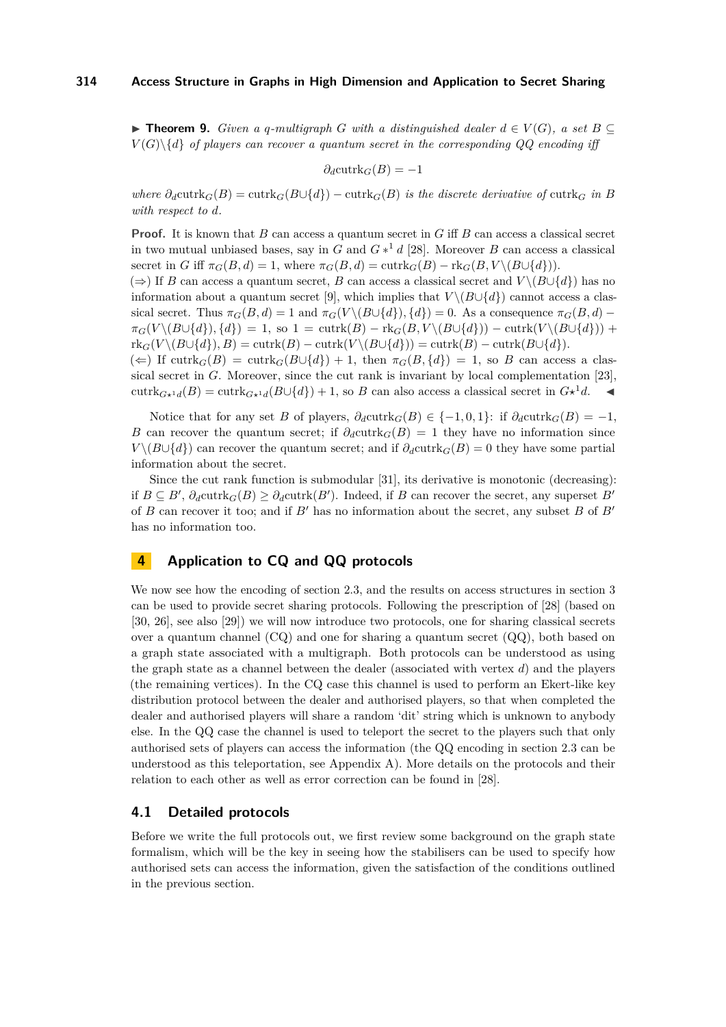<span id="page-6-0"></span>**► Theorem 9.** *Given a q-multigraph G with a distinguished dealer*  $d \in V(G)$ , *a set*  $B \subseteq$  $V(G)\$ { $d$ } *of players can recover a quantum secret in the corresponding QQ encoding iff* 

$$
\partial_d \mathrm{cutrk}_G(B) = -1
$$

*where*  $\partial_d$ cutrk $_G(B) = \text{cutrk}_G(B \cup \{d\}) - \text{cutrk}_G(B)$  *is the discrete derivative of* cutrk<sub>*G</sub> in B*</sub> *with respect to d.*

**Proof.** It is known that *B* can access a quantum secret in *G* iff *B* can access a classical secret in two mutual unbiased bases, say in *G* and  $G*^1 d$  [\[28\]](#page-15-3). Moreover *B* can access a classical secret in *G* iff  $\pi_G(B, d) = 1$ , where  $\pi_G(B, d) = \text{cutrk}_G(B) - \text{rk}_G(B, V \setminus (B \cup \{d\})).$ 

 $(\Rightarrow)$  If *B* can access a quantum secret, *B* can access a classical secret and *V* \( $B\cup\{d\}$ ) has no information about a quantum secret [\[9\]](#page-14-1), which implies that  $V \setminus (B \cup \{d\})$  cannot access a classical secret. Thus  $\pi_G(B, d) = 1$  and  $\pi_G(V \setminus (B \cup \{d\}), \{d\}) = 0$ . As a consequence  $\pi_G(B, d)$  $\pi_G(V \setminus (B \cup \{d\})$ ,  $\{d\}) = 1$ , so  $1 = \text{cutrk}(B) - \text{rk}_G(B, V \setminus (B \cup \{d\})) - \text{cutrk}(V \setminus (B \cup \{d\})) +$  $rk_G(V \setminus (B \cup \{d\}), B) = \text{cutrk}(B) - \text{cutrk}(V \setminus (B \cup \{d\})) = \text{cutrk}(B) - \text{cutrk}(B \cup \{d\}).$ 

 $(\Leftarrow)$  If cutrk $_G(B) = \text{cutrk}_G(B \cup \{d\}) + 1$ , then  $\pi_G(B, \{d\}) = 1$ , so *B* can access a classical secret in *G*. Moreover, since the cut rank is invariant by local complementation [\[23\]](#page-15-7), cutrk $_{G*^1d}(B) = \text{cutrk}_{G*^1d}(B \cup \{d\}) + 1$ , so *B* can also access a classical secret in  $G*^1d$ .

Notice that for any set *B* of players,  $\partial_d$ cutrk $_G(B) \in \{-1, 0, 1\}$ : if  $\partial_d$ cutrk $_G(B) = -1$ , *B* can recover the quantum secret; if  $\partial_d$ cutrk $_G(B) = 1$  they have no information since *V* \(*B*∪{*d*}) can recover the quantum secret; and if  $\partial_d$ cutrk $_G(B) = 0$  they have some partial information about the secret.

Since the cut rank function is submodular [\[31\]](#page-15-9), its derivative is monotonic (decreasing): if  $B \subseteq B'$ ,  $\partial_d \text{cutrk}_G(B) \geq \partial_d \text{cutrk}(B')$ . Indeed, if *B* can recover the secret, any superset *B*<sup>*i*</sup> of *B* can recover it too; and if  $B'$  has no information about the secret, any subset *B* of  $B'$ has no information too.

## <span id="page-6-1"></span>**4 Application to CQ and QQ protocols**

We now see how the encoding of section [2.3,](#page-3-0) and the results on access structures in section [3](#page-4-1) can be used to provide secret sharing protocols. Following the prescription of [\[28\]](#page-15-3) (based on [\[30,](#page-15-1) [26\]](#page-15-2), see also [\[29\]](#page-15-11)) we will now introduce two protocols, one for sharing classical secrets over a quantum channel  $(CQ)$  and one for sharing a quantum secret  $(QQ)$ , both based on a graph state associated with a multigraph. Both protocols can be understood as using the graph state as a channel between the dealer (associated with vertex *d*) and the players (the remaining vertices). In the CQ case this channel is used to perform an Ekert-like key distribution protocol between the dealer and authorised players, so that when completed the dealer and authorised players will share a random 'dit' string which is unknown to anybody else. In the QQ case the channel is used to teleport the secret to the players such that only authorised sets of players can access the information (the QQ encoding in section [2.3](#page-3-0) can be understood as this teleportation, see Appendix [A\)](#page-15-10). More details on the protocols and their relation to each other as well as error correction can be found in [\[28\]](#page-15-3).

## <span id="page-6-2"></span>**4.1 Detailed protocols**

Before we write the full protocols out, we first review some background on the graph state formalism, which will be the key in seeing how the stabilisers can be used to specify how authorised sets can access the information, given the satisfaction of the conditions outlined in the previous section.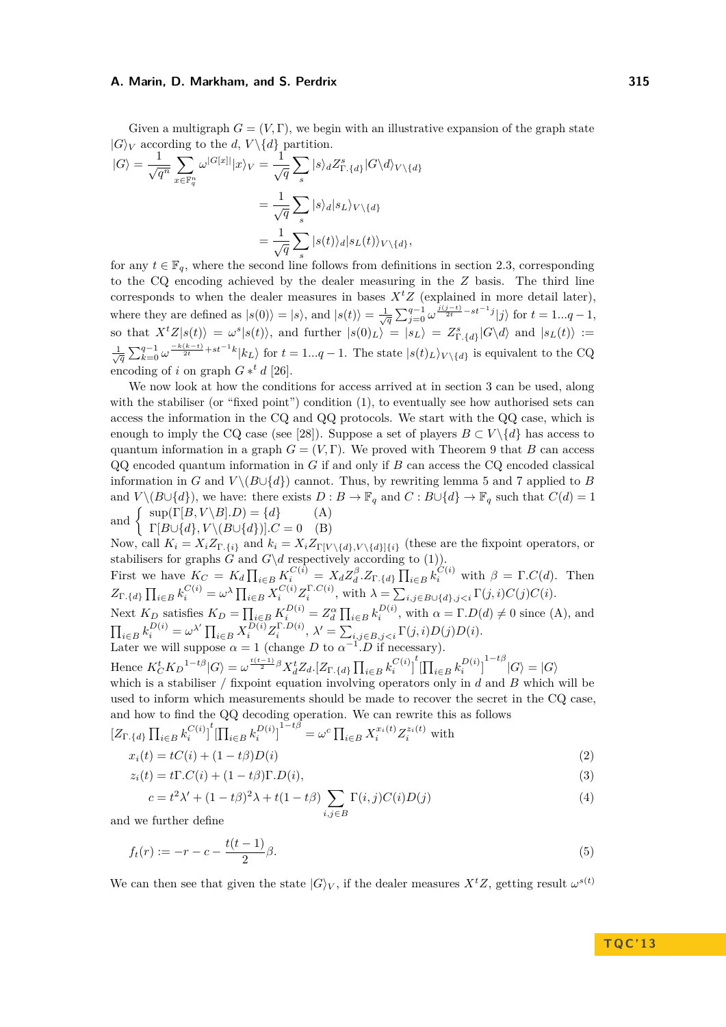Given a multigraph  $G = (V, \Gamma)$ , we begin with an illustrative expansion of the graph state  $|G\rangle_V$  according to the *d*,  $V \setminus \{d\}$  partition.

$$
|G\rangle = \frac{1}{\sqrt{q^n}} \sum_{x \in \mathbb{F}_q^n} \omega^{|G[x]|} |x\rangle_V = \frac{1}{\sqrt{q}} \sum_s |s\rangle_d Z^s_{\Gamma, \{d\}} |G \backslash d\rangle_{V \backslash \{d\}}
$$
  

$$
= \frac{1}{\sqrt{q}} \sum_s |s\rangle_d |s_L\rangle_{V \backslash \{d\}}
$$
  

$$
= \frac{1}{\sqrt{q}} \sum_s |s(t)\rangle_d |s_L(t)\rangle_{V \backslash \{d\}},
$$

for any  $t \in \mathbb{F}_q$ , where the second line follows from definitions in section [2.3,](#page-3-0) corresponding to the CQ encoding achieved by the dealer measuring in the *Z* basis. The third line corresponds to when the dealer measures in bases  $X<sup>t</sup>Z$  (explained in more detail later), where they are defined as  $|s(0)\rangle = |s\rangle$ , and  $|s(t)\rangle = \frac{1}{\sqrt{q}} \sum_{j=0}^{q-1} \omega^{\frac{j(j-t)}{2t} - st^{-1}j} |j\rangle$  for  $t = 1...q - 1$ , so that  $X^t Z |s(t)\rangle = \omega^s |s(t)\rangle$ , and further  $|s(0)_L\rangle = |s_L\rangle = Z^s_{\Gamma,\{d\}}|G\setminus d\rangle$  and  $|s_L(t)\rangle :=$  $\frac{1}{\sqrt{q}}\sum_{k=0}^{q-1}\omega^{\frac{-k(k-t)}{2t}+st^{-1}k}|k_L\rangle$  for  $t=1...q-1$ . The state  $|s(t)_L\rangle_{V\setminus\{d\}}$  is equivalent to the CQ encoding of *i* on graph  $G *^t d$  [\[26\]](#page-15-2).

We now look at how the conditions for access arrived at in section [3](#page-4-1) can be used, along with the stabiliser (or "fixed point") condition [\(1\)](#page-2-0), to eventually see how authorised sets can access the information in the CQ and QQ protocols. We start with the QQ case, which is enough to imply the CQ case (see [\[28\]](#page-15-3)). Suppose a set of players  $B \subset V \setminus \{d\}$  has access to quantum information in a graph  $G = (V, \Gamma)$ . We proved with Theorem [9](#page-6-0) that *B* can access QQ encoded quantum information in *G* if and only if *B* can access the CQ encoded classical information in *G* and  $V \setminus (B \cup \{d\})$  cannot. Thus, by rewriting lemma [5](#page-4-0) and [7](#page-5-0) applied to *B* and  $V \setminus (B \cup \{d\})$ , we have: there exists  $D : B \to \mathbb{F}_q$  and  $C : B \cup \{d\} \to \mathbb{F}_q$  such that  $C(d) = 1$ and  $\begin{cases} \sup(\Gamma[B, V \setminus B], D) = \{d\} \\ \lim_{\Gamma[B \cup \{d\}} V \setminus (B \cup \{d\}) \setminus C] = 0 \end{cases}$  (A)

 $\Gamma[B\cup\{d\}, V\setminus (B\cup\{d\})]$ *.C* = 0 (B)

Now, call  $K_i = X_i Z_{\Gamma_i \{i\}}$  and  $k_i = X_i Z_{\Gamma[V \setminus \{d\}, V \setminus \{d\}]\{i\}}$  (these are the fixpoint operators, or stabilisers for graphs *G* and  $G\d$  respectively according to [\(1\)](#page-2-0)).

First we have  $K_C = K_d \prod_{i \in B} K_i^{C(i)} = X_d Z_d^{\beta} Z_{\Gamma, \{d\}} \prod_{i \in B} k_i^{C(i)}$  with  $\beta = \Gamma.C(d)$ . Then  $Z_{\Gamma \cdot \{d\}} \prod_{i \in B} k_i^{C(i)} = \omega^{\lambda} \prod_{i \in B} X_i^{C(i)} Z_i^{\Gamma \cdot C(i)}$ , with  $\lambda = \sum_{i,j \in B \cup \{d\}, j < i} \Gamma(j,i) C(j) C(i)$ .

Next  $K_D$  satisfies  $K_D = \prod_{i \in B} K_i^{D(i)} = Z_d^{\alpha} \prod_{i \in B} k_i^{D(i)}$ , with  $\alpha = \Gamma.D(d) \neq 0$  since (A), and  $\prod_{i\in B} k_i^{D(i)} = \omega^{\lambda'} \prod_{i\in B} X_i^{D(i)} Z_i^{\Gamma.D(i)}, \lambda' = \sum_{i,j\in B, j$ 

Later we will suppose  $\alpha = 1$  (change *D* to  $\alpha^{-1}$ , *D* if necessary). Hence  $K_C^t K_D^{1-t\beta} |G\rangle = \omega^{\frac{t(t-1)}{2}\beta} X_d^t Z_d. [Z_{\Gamma, \{d\}} \prod_{i \in B} k_i^{C(i)} \Big]^t [\prod_{i \in B} k_i^{D(i)} \Big]^{1-t\beta} |G\rangle = |G\rangle$ 

which is a stabiliser / fixpoint equation involving operators only in *d* and *B* which will be used to inform which measurements should be made to recover the secret in the CQ case, and how to find the QQ decoding operation. We can rewrite this as follows

$$
\left[Z_{\Gamma,\{d\}}\prod_{i\in B} k_i^{C(i)}\right]^t \left[\prod_{i\in B} k_i^{D(i)}\right]^{1-t\beta} = \omega^c \prod_{i\in B} X_i^{x_i(t)} Z_i^{z_i(t)} \text{ with}
$$

$$
x_i(t) = tC(i) + (1-t\beta)D(i)
$$
(2)

$$
z_i(t) = t \Gamma.C(i) + (1 - t\beta)\Gamma.D(i),
$$
\n(3)

<span id="page-7-2"></span><span id="page-7-1"></span><span id="page-7-0"></span>
$$
c = t^2 \lambda' + (1 - t\beta)^2 \lambda + t(1 - t\beta) \sum_{i,j \in B} \Gamma(i,j) C(i) D(j)
$$
\n(4)

and we further define

$$
f_t(r) := -r - c - \frac{t(t-1)}{2}\beta.
$$
\n(5)

We can then see that given the state  $|G\rangle_V$ , if the dealer measures  $X^tZ$ , getting result  $\omega^{s(t)}$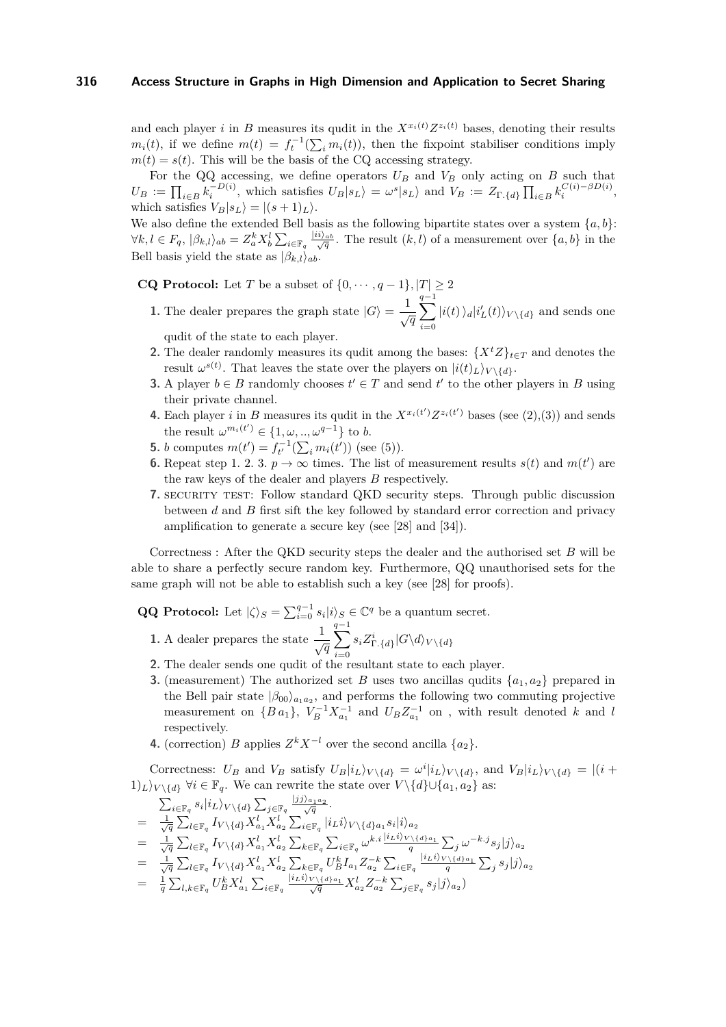and each player *i* in *B* measures its qudit in the  $X^{x_i(t)}Z^{z_i(t)}$  bases, denoting their results  $m_i(t)$ , if we define  $m(t) = f_t^{-1}(\sum_i m_i(t))$ , then the fixpoint stabiliser conditions imply  $m(t) = s(t)$ . This will be the basis of the CQ accessing strategy.

For the QQ accessing, we define operators  $U_B$  and  $V_B$  only acting on  $B$  such that  $U_B := \prod_{i \in B} k_i^{-D(i)}$ , which satisfies  $U_B |s_L\rangle = \omega^s |s_L\rangle$  and  $V_B := Z_{\Gamma,\{d\}} \prod_{i \in B} k_i^{C(i) - \beta D(i)}$ , which satisfies  $V_B|s_L\rangle = |(s+1)_L\rangle$ .

We also define the extended Bell basis as the following bipartite states over a system  ${a, b}$ :  $\forall k,l \in F_q, |\beta_{k,l}\rangle_{ab} = Z_a^k X_b^l \sum_{i \in \mathbb{F}_q} \frac{|ii\rangle_{ab}}{\sqrt{q}}$ . The result  $(k,l)$  of a measurement over  $\{a,b\}$  in the Bell basis yield the state as  $|\beta_{k,l}\rangle_{ab}$ .

**CQ Protocol:** Let *T* be a subset of  $\{0, \dots, q-1\}$ ,  $|T| \geq 2$ 

**1.** The dealer prepares the graph state  $|G\rangle = \frac{1}{\sqrt{q}}$ X*q*−1 *i*=0  $|i(t)\rangle_d|i'_L(t)\rangle_{V\setminus\{d\}}$  and sends one

qudit of the state to each player.

- **2.** The dealer randomly measures its qudit among the bases:  $\{X^tZ\}_{t\in T}$  and denotes the result  $\omega^{s(t)}$ . That leaves the state over the players on  $|i(t)_L\rangle_{V\setminus\{d\}}$ .
- **3.** A player *b* ∈ *B* randomly chooses  $t'$  ∈ *T* and send  $t'$  to the other players in *B* using their private channel.
- **4.** Each player *i* in *B* measures its qudit in the  $X^{x_i(t')}Z^{z_i(t')}$  bases (see [\(2\)](#page-7-0),[\(3\)](#page-7-1)) and sends the result  $\omega^{m_i(t')} \in \{1, \omega, ..., \omega^{q-1}\}$  to *b*.
- **5.** *b* computes  $m(t') = f_{t'}^{-1}(\sum_i m_i(t'))$  (see [\(5\)](#page-7-2)).
- **6.** Repeat step 1. 2. 3.  $p \rightarrow \infty$  times. The list of measurement results  $s(t)$  and  $m(t')$  are the raw keys of the dealer and players *B* respectively.
- **7.** SECURITY TEST: Follow standard QKD security steps. Through public discussion between *d* and *B* first sift the key followed by standard error correction and privacy amplification to generate a secure key (see [\[28\]](#page-15-3) and [\[34\]](#page-15-12)).

Correctness : After the QKD security steps the dealer and the authorised set *B* will be able to share a perfectly secure random key. Furthermore, QQ unauthorised sets for the same graph will not be able to establish such a key (see [\[28\]](#page-15-3) for proofs).

**QQ Protocol:** Let  $|\zeta\rangle_S = \sum_{i=0}^{q-1} s_i |i\rangle_S \in \mathbb{C}^q$  be a quantum secret.

- **1.** A dealer prepares the state  $\frac{1}{\sqrt{q}}$ X*q*−1 *i*=0  $s_i Z^i_{\Gamma_{\text{-}}\{d\}} |G \backslash d \rangle_{V \backslash \{d\}}$
- **2.** The dealer sends one qudit of the resultant state to each player.
- **3.** (measurement) The authorized set *B* uses two ancillas qudits  $\{a_1, a_2\}$  prepared in the Bell pair state  $|\beta_{00}\rangle_{a_1a_2}$ , and performs the following two commuting projective measurement on  $\{Ba_1\}$ ,  $V_B^{-1}X_{a_1}^{-1}$  and  $U_BZ_{a_1}^{-1}$  on , with result denoted *k* and *l* respectively.
- **4.** (correction) *B* applies  $Z^k X^{-l}$  over the second ancilla  $\{a_2\}$ .

Correctness:  $U_B$  and  $V_B$  satisfy  $U_B|i_L\rangle_{V\setminus\{d\}} = \omega^i|i_L\rangle_{V\setminus\{d\}}$ , and  $V_B|i_L\rangle_{V\setminus\{d\}} = |(i +$ 1)<sub>L</sub> $\rangle$ <sub>*V* \{*d*}</sub>  $\forall i \in \mathbb{F}_q$ . We can rewrite the state over  $V \setminus \{d\} \cup \{a_1, a_2\}$  as:

$$
\begin{array}{lll} &\sum_{i\in\mathbb{F}_q}s_i|i_L\rangle_{V\backslash\{d\}}\sum_{j\in\mathbb{F}_q}\frac{|jj\rangle_{a_1a_2}}{\sqrt{q}}.\\ &=&\frac{1}{\sqrt{q}}\sum_{l\in\mathbb{F}_q}I_{V\backslash\{d\}}X^l_{a_1}X^l_{a_2}\sum_{i\in\mathbb{F}_q}|i_Li\rangle_{V\backslash\{d\}a_1}s_i|i\rangle_{a_2}\\ &=&\frac{1}{\sqrt{q}}\sum_{l\in\mathbb{F}_q}I_{V\backslash\{d\}}X^l_{a_1}X^l_{a_2}\sum_{k\in\mathbb{F}_q}\sum_{i\in\mathbb{F}_q}\omega^{k.i}\frac{|i_Li\rangle_{V\backslash\{d\}a_1}}{q}\sum_{j}\omega^{-k.j}s_j|j\rangle_{a_2}\\ &=&\frac{1}{\sqrt{q}}\sum_{l\in\mathbb{F}_q}I_{V\backslash\{d\}}X^l_{a_1}X^l_{a_2}\sum_{k\in\mathbb{F}_q}U^k_{B}I_{a_1}Z^{-k}_{a_2}\sum_{i\in\mathbb{F}_q}\frac{|i_Li\rangle_{V\backslash\{d\}a_1}}{q}\sum_{j}\sum_{j\in\mathbb{F}_q}s_j|j\rangle_{a_2}\\ &=&\frac{1}{q}\sum_{l,k\in\mathbb{F}_q}U^k_{B}X^l_{a_1}\sum_{i\in\mathbb{F}_q}\frac{|i_Li\rangle_{V\backslash\{d\}a_1}}{\sqrt{q}}X^l_{a_2}Z^{-k}_{a_2}\sum_{j\in\mathbb{F}_q}s_j|j\rangle_{a_2}\end{array}
$$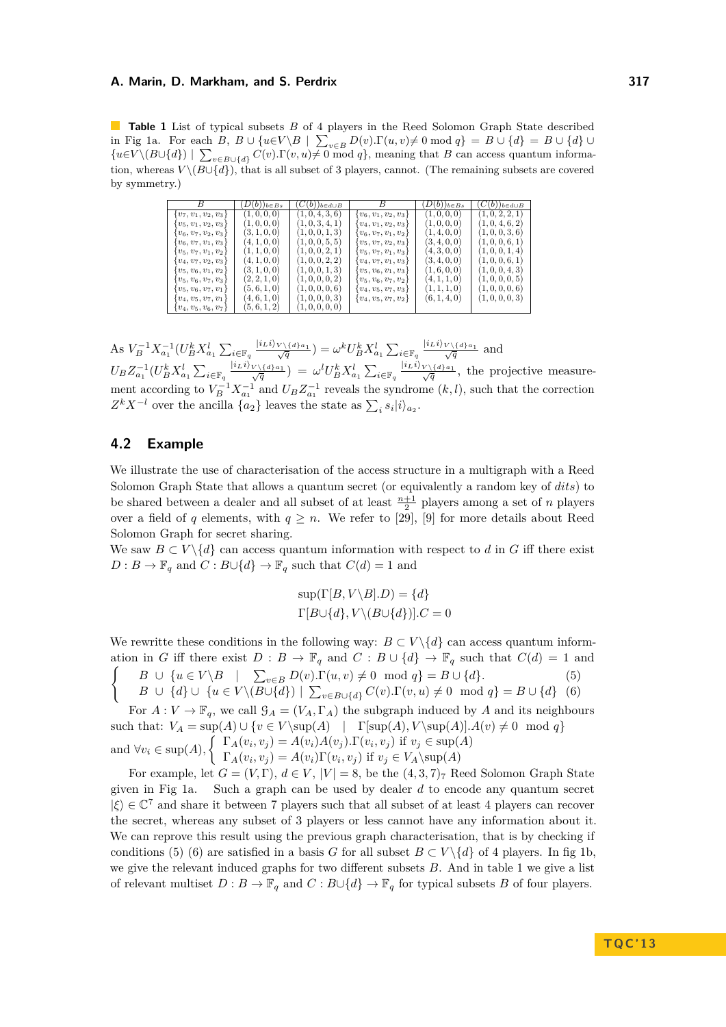<span id="page-9-0"></span>**Table 1** List of typical subsets *B* of 4 players in the Reed Solomon Graph State described in Fig [1a.](#page-10-0) For each  $B, B \cup \{u \in V \setminus B \mid \sum_{v \in B} D(v) \cdot \Gamma(u, v) \neq 0 \mod q\} = B \cup \{d\} = B \cup \{d\}$  ${u \in V \setminus (B \cup \{d\}) \mid \sum_{v \in B \cup \{d\}} C(v) \cdot \Gamma(v, u) \neq 0 \text{ mod } q},$  meaning that *B* can access quantum information, whereas  $V \setminus (B \cup \{d\})$ , that is all subset of 3 players, cannot. (The remaining subsets are covered by symmetry.)

|                      | $(D(b))_{b\in Bs}$ | $(C(b))_{b \in d \cup B}$ |                          | $(D(b))_{b\in Bs}$ | $(C(b))_{b\in d\cup B}$ |
|----------------------|--------------------|---------------------------|--------------------------|--------------------|-------------------------|
| $v_7, v_1, v_2, v_3$ | 1, 0, 0, 0)        | (1,0,4,3,6)               | $v_6, v_1, v_2, v_3$     | (1, 0, 0, 0)       | 1, 0, 2, 2, 1           |
| $v_5, v_1, v_2, v_3$ | 1, 0, 0, 0)        | 1, 0, 3, 4, 1             | $v_4, v_1, v_2, v_3$     | (1, 0, 0, 0)       | 1, 0, 4, 6, 2           |
| $v_6, v_7, v_2, v_3$ | (3, 1, 0, 0)       | (1,0,0,1,3)               | $v_6, v_7, v_1, v_2$     | (1, 4, 0, 0)       | (1,0,0,3,6)             |
| $v_6, v_7, v_1, v_3$ | (4, 1, 0, 0)       | (1,0,0,5,5)               | $v_5, v_7, v_2, v_3$     | (3, 4, 0, 0)       | 1, 0, 0, 6, 1           |
| $v_5, v_7, v_1, v_2$ | 1, 1, 0, 0)        | (1,0,0,2,1)               | $v_5, v_7, v_1, v_3$     | (4, 3, 0, 0)       | 1, 0, 0, 1, 4           |
| $v_4, v_7, v_2, v_3$ | (4, 1, 0, 0)       | (1,0,0,2,2)               | $v_4, v_7, v_1, v_3$     | 3, 4, 0, 0         | 1, 0, 0, 6, 1           |
| $v_5, v_6, v_1, v_2$ | (3, 1, 0, 0)       | (1,0,0,1,3)               | $v_5, v_6, v_1, v_3$     | (1,6,0,0)          | 1, 0, 0, 4, 3           |
| $v_5, v_6, v_7, v_3$ | (2, 2, 1, 0)       | (1,0,0,0,2)               | $v_5, v_6, v_7, v_2$     | (4, 1, 1, 0)       | 1, 0, 0, 0, 5)          |
| $v_5, v_6, v_7, v_1$ | (5,6,1,0)          | (1,0,0,0,6)               | $v_4, v_5, v_7, v_3$     | 1, 1, 1, 0         | 1, 0, 0, 0, 6           |
| $v_4, v_5, v_7, v_1$ | (4,6,1,0)          | (1,0,0,0,3)               | $\{v_4, v_5, v_7, v_2\}$ | (6, 1, 4, 0)       | (1,0,0,0,3)             |
| $v_4, v_5, v_6, v_7$ | (5,6,1,2)          | (1,0,0,0,0)               |                          |                    |                         |
|                      |                    |                           |                          |                    |                         |

As  $V_B^{-1} X_{a_1}^{-1} (U_B^k X_{a_1}^l \sum_{i \in \mathbb{F}_q} \frac{|i_L i\rangle_{V \setminus \{d\}a_1}}{\sqrt{q}}) = \omega^k U_B^k X_{a_1}^l \sum_{i \in \mathbb{F}_q} \frac{|i_L i\rangle_{V \setminus \{d\}a_1}}{\sqrt{q}}$  and  $U_B Z_{a_1}^{-1}(U_B^k X_{a_1}^l \sum_{i \in \mathbb{F}_q} \frac{|i_L i\rangle_{V \setminus \{d\}a_1}}{\sqrt{q}}) = \omega^l U_B^k X_{a_1}^l \sum_{i \in \mathbb{F}_q} \frac{|i_L i\rangle_{V \setminus \{d\}a_1}}{\sqrt{q}}$ , the projective measurement according to  $V_B^{-1} X_{a_1}^{-1}$  and  $U_B Z_{a_1}^{-1}$  reveals the syndrome  $(k, l)$ , such that the correction  $Z^k X^{-l}$  over the ancilla  $\{a_2\}$  leaves the state as  $\sum_i s_i |i\rangle_{a_2}$ .

## **4.2 Example**

We illustrate the use of characterisation of the access structure in a multigraph with a Reed Solomon Graph State that allows a quantum secret (or equivalently a random key of *dits*) to be shared between a dealer and all subset of at least  $\frac{n+1}{2}$  players among a set of *n* players over a field of *q* elements, with  $q \geq n$ . We refer to [\[29\]](#page-15-11), [\[9\]](#page-14-1) for more details about Reed Solomon Graph for secret sharing.

We saw  $B \subset V \setminus \{d\}$  can access quantum information with respect to *d* in *G* iff there exist  $D: B \to \mathbb{F}_q$  and  $C: B \cup \{d\} \to \mathbb{F}_q$  such that  $C(d) = 1$  and

$$
sup(\Gamma[B, V \setminus B].D) = \{d\}
$$

$$
\Gamma[B \cup \{d\}, V \setminus (B \cup \{d\})].C = 0
$$

We rewritte these conditions in the following way:  $B \subset V \setminus \{d\}$  can access quantum information in *G* iff there exist  $D : B \to \mathbb{F}_q$  and  $C : B \cup \{d\} \to \mathbb{F}_q$  such that  $C(d) = 1$  and  $\int$  *B* ∪ {*u* ∈ *V* \*B* |  $\sum_{v \in B} D(v) \cdot \Gamma(u, v) \neq 0 \mod q$ } = *B* ∪ {*d*}*.* (5) *B* ∪ {*d*} ∪ {*u* ∈ *V* \(*B*∪{*d*}) |  $\sum_{v \in B \cup \{d\}} C(v) \cdot \Gamma(v, u) \neq 0 \mod q$ } = *B* ∪ {*d*} (6)

For  $A: V \to \mathbb{F}_q$ , we call  $\mathcal{G}_A = (V_A, \Gamma_A)$  the subgraph induced by *A* and its neighbours such that:  $V_A = \sup(A) \cup \{v \in V \setminus \sup(A) \mid \Gamma[\sup(A), V \setminus \sup(A)] \cdot A(v) \neq 0 \mod q\}$ and  $\forall v_i \in \text{sup}(A)$ ,  $\begin{cases} \Gamma_A(v_i, v_j) = A(v_i)A(v_j) \cdot \Gamma(v_i, v_j) & \text{if } v_j \in \text{sup}(A) \\ \Gamma_A(v_i, v_j) = A(v_i) \cdot \Gamma(v_i, v_j) & \text{if } v_j \in V \setminus \text{sup}(A) \end{cases}$  $\Gamma_A(v_i, v_j) = A(v_i)\Gamma(v_i, v_j)$  if  $v_j \in V_A \setminus {\rm sup}(A)$ 

For example, let  $G = (V, \Gamma), d \in V, |V| = 8$ , be the  $(4, 3, 7)_7$  Reed Solomon Graph State given in Fig [1a.](#page-10-0) Such a graph can be used by dealer *d* to encode any quantum secret  $|\xi\rangle \in \mathbb{C}^7$  and share it between 7 players such that all subset of at least 4 players can recover the secret, whereas any subset of 3 players or less cannot have any information about it. We can reprove this result using the previous graph characterisation, that is by checking if conditions (5) (6) are satisfied in a basis *G* for all subset  $B \subset V \setminus \{d\}$  of 4 players. In fig [1b,](#page-10-1) we give the relevant induced graphs for two different subsets *B*. And in table [1](#page-9-0) we give a list of relevant multiset  $D: B \to \mathbb{F}_q$  and  $C: B \cup \{d\} \to \mathbb{F}_q$  for typical subsets *B* of four players.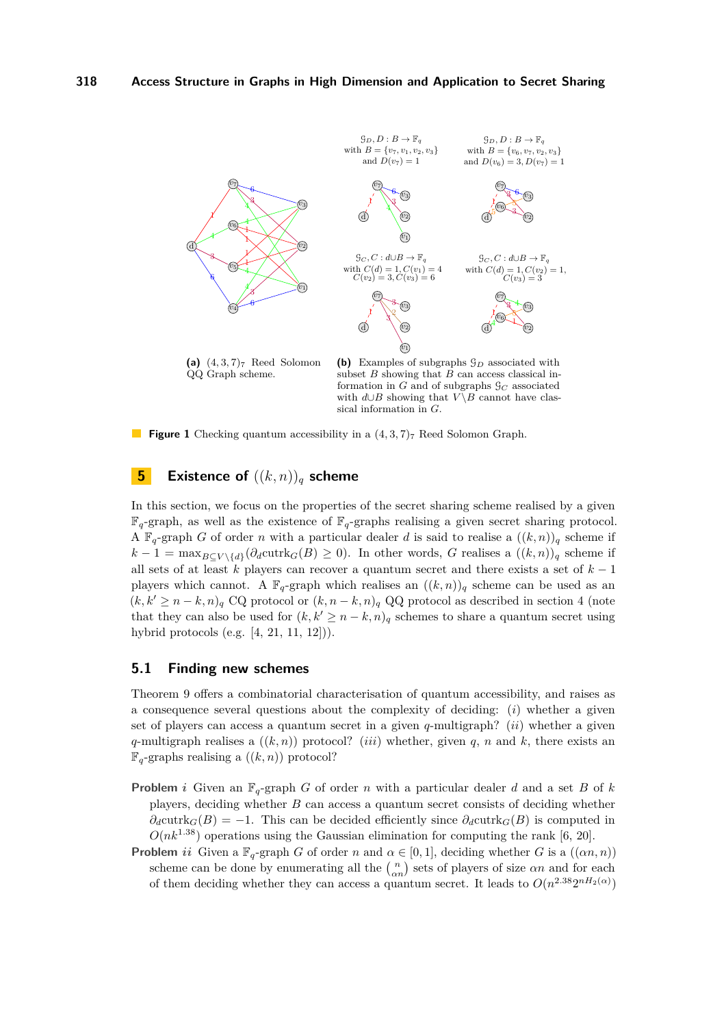<span id="page-10-0"></span>

(a)  $(4,3,7)$ <sup>7</sup> Reed Solomon QQ Graph scheme.

<span id="page-10-1"></span>**(b)** Examples of subgraphs G*<sup>D</sup>* associated with subset *B* showing that *B* can access classical information in  $G$  and of subgraphs  $\mathcal{G}_C$  associated with  $d \cup B$  showing that  $V \setminus B$  cannot have classical information in *G*.

**Figure 1** Checking quantum accessibility in a  $(4,3,7)_7$  Reed Solomon Graph.

## **5 Existence of** ((*k, n*))*<sup>q</sup>* **scheme**

In this section, we focus on the properties of the secret sharing scheme realised by a given  $\mathbb{F}_q$ -graph, as well as the existence of  $\mathbb{F}_q$ -graphs realising a given secret sharing protocol. A  $\mathbb{F}_q$ -graph *G* of order *n* with a particular dealer *d* is said to realise a  $((k, n))_q$  scheme if  $k-1 = \max_{B \subseteq V \setminus \{d\}}(\partial_d \text{cutrk}_G(B) \ge 0)$ . In other words, *G* realises a  $((k,n))_q$  scheme if all sets of at least *k* players can recover a quantum secret and there exists a set of *k* − 1 players which cannot. A  $\mathbb{F}_q$ -graph which realises an  $((k, n))_q$  scheme can be used as an  $(k, k' \geq n - k, n)$ <sub>q</sub> CQ protocol or  $(k, n - k, n)$ <sub>q</sub> QQ protocol as described in section [4](#page-6-1) (note that they can also be used for  $(k, k' \geq n - k, n)$ <sub>q</sub> schemes to share a quantum secret using hybrid protocols (e.g. [\[4,](#page-14-7) [21,](#page-14-2) [11,](#page-14-8) [12\]](#page-14-9))).

#### <span id="page-10-2"></span>**5.1 Finding new schemes**

Theorem [9](#page-6-0) offers a combinatorial characterisation of quantum accessibility, and raises as a consequence several questions about the complexity of deciding: (*i*) whether a given set of players can access a quantum secret in a given *q*-multigraph? (*ii*) whether a given *q*-multigraph realises a  $((k, n))$  protocol? (*iii*) whether, given *q*, *n* and *k*, there exists an  $\mathbb{F}_q$ -graphs realising a  $((k, n))$  protocol?

- **Problem** *i* Given an  $\mathbb{F}_q$ -graph *G* of order *n* with a particular dealer *d* and a set *B* of *k* players, deciding whether *B* can access a quantum secret consists of deciding whether  $\partial_d$ cutrk $_G(B) = -1$ . This can be decided efficiently since  $\partial_d$ cutrk $_G(B)$  is computed in  $O(nk^{1.38})$  operations using the Gaussian elimination for computing the rank [\[6,](#page-14-10) [20\]](#page-14-11).
- **Problem** *ii* Given a  $\mathbb{F}_q$ -graph *G* of order *n* and  $\alpha \in [0,1]$ , deciding whether *G* is a  $((\alpha n, n))$ scheme can be done by enumerating all the  $\binom{n}{\alpha n}$  sets of players of size  $\alpha n$  and for each of them deciding whether they can access a quantum secret. It leads to  $O(n^{2.38}2^{nH_2(\alpha)})$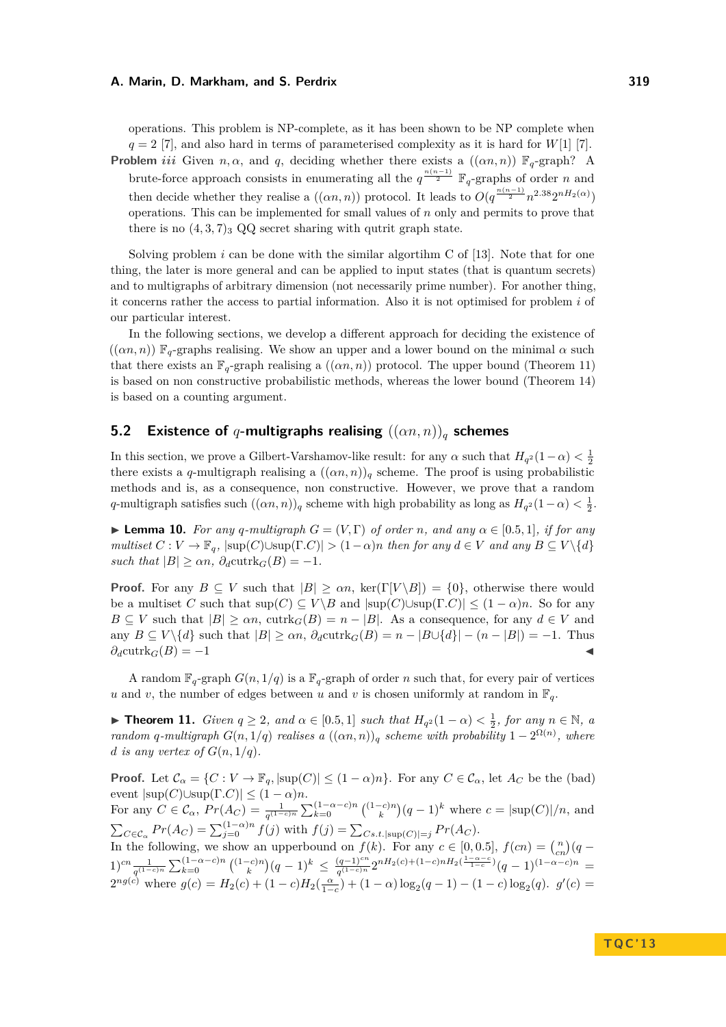operations. This problem is NP-complete, as it has been shown to be NP complete when  $q = 2$  [\[7\]](#page-14-12), and also hard in terms of parameterised complexity as it is hard for *W*[1] [7]. **Problem** *iii* Given *n, α,* and *q,* deciding whether there exists a  $((\alpha n, n))$   $\mathbb{F}_q$ -graph? A brute-force approach consists in enumerating all the  $q^{\frac{n(n-1)}{2}}$   $\mathbb{F}_q$ -graphs of order *n* and

then decide whether they realise a  $((\alpha n, n))$  protocol. It leads to  $O(q^{\frac{n(n-1)}{2}}n^{2.38}2^{nH_2(\alpha)})$ operations. This can be implemented for small values of *n* only and permits to prove that there is no  $(4,3,7)$ <sub>3</sub> QQ secret sharing with qutrit graph state.

Solving problem  $i$  can be done with the similar algorithm C of  $[13]$ . Note that for one thing, the later is more general and can be applied to input states (that is quantum secrets) and to multigraphs of arbitrary dimension (not necessarily prime number). For another thing, it concerns rather the access to partial information. Also it is not optimised for problem *i* of our particular interest.

In the following sections, we develop a different approach for deciding the existence of  $((\alpha n, n))$   $\mathbb{F}_q$ -graphs realising. We show an upper and a lower bound on the minimal  $\alpha$  such that there exists an  $\mathbb{F}_q$ -graph realising a  $((\alpha n, n))$  protocol. The upper bound (Theorem [11\)](#page-11-0) is based on non constructive probabilistic methods, whereas the lower bound (Theorem [14\)](#page-12-0) is based on a counting argument.

## **5.2 Existence of** *q***-multigraphs realising** ((*αn, n*))*<sup>q</sup>* **schemes**

In this section, we prove a Gilbert-Varshamov-like result: for any  $\alpha$  such that  $H_{q^2}(1-\alpha) < \frac{1}{2}$ there exists a *q*-multigraph realising a  $((\alpha n, n))_q$  scheme. The proof is using probabilistic methods and is, as a consequence, non constructive. However, we prove that a random *q*-multigraph satisfies such  $((\alpha n, n))_q$  scheme with high probability as long as  $H_{q^2}(1-\alpha) < \frac{1}{2}$ .

<span id="page-11-1"></span>► **Lemma 10.** For any q-multigraph  $G = (V, \Gamma)$  of order *n*, and any  $\alpha \in [0.5, 1]$ , if for any  $multiset \ C : V \to \mathbb{F}_q$ ,  $|\text{sup}(C) \cup \text{sup}(\Gamma.C)| > (1-\alpha)n$  *then for any*  $d \in V$  *and any*  $B \subseteq V \setminus \{d\}$ *such that*  $|B| \geq \alpha n$ ,  $\partial_d \text{cutrk}_G(B) = -1$ .

**Proof.** For any  $B \subseteq V$  such that  $|B| \geq \alpha n$ , ker(Γ[*V*\*B*]) = {0}, otherwise there would be a multiset *C* such that  $\sup(C) \subseteq V \setminus B$  and  $|\sup(C) \cup \sup(\Gamma.C)| \leq (1 - \alpha)n$ . So for any  $B \subseteq V$  such that  $|B| \ge \alpha n$ , cutrk $_G(B) = n - |B|$ . As a consequence, for any  $d \in V$  and any  $B \subseteq V \setminus \{d\}$  such that  $|B| \ge \alpha n$ ,  $\partial_d \text{cutrk}_G(B) = n - |B \cup \{d\}| - (n - |B|) = -1$ . Thus  $\partial_d$ cutrk $_G(B) = -1$ 

A random  $\mathbb{F}_q$ -graph  $G(n, 1/q)$  is a  $\mathbb{F}_q$ -graph of order *n* such that, for every pair of vertices *u* and *v*, the number of edges between *u* and *v* is chosen uniformly at random in  $\mathbb{F}_q$ .

<span id="page-11-0"></span>**► Theorem 11.** *Given*  $q \geq 2$ *, and*  $\alpha \in [0.5, 1]$  *such that*  $H_{q^2}(1 - \alpha) < \frac{1}{2}$ *, for any*  $n \in \mathbb{N}$ *, a random q*-multigraph  $G(n,1/q)$  *realises* a  $((\alpha n,n))_q$  *scheme with probability*  $1-2^{\Omega(n)}$ , *where d is any vertex of*  $G(n, 1/q)$ *.* 

**Proof.** Let  $\mathcal{C}_{\alpha} = \{C : V \to \mathbb{F}_q, |\text{sup}(C)| \leq (1 - \alpha)n\}$ . For any  $C \in \mathcal{C}_{\alpha}$ , let  $A_C$  be the (bad)  $|\text{sup}(C) \cup \text{sup}(\Gamma.C)| \leq (1-\alpha)n$ . For any  $C \in \mathcal{C}_{\alpha}$ ,  $Pr(A_C) = \frac{1}{q^{(1-c)n}} \sum_{k=0}^{(1-\alpha-c)n} {(\binom{(1-c)n}{k}} (q-1)^k$  where  $c = |\text{sup}(C)|/n$ , and  $\sum_{C \in \mathcal{C}_{\alpha}} Pr(A_C) = \sum_{j=0}^{(1-\alpha)n} f(j)$  with  $f(j) = \sum_{Cs.t.|\text{sup}(C)|=j} Pr(A_C)$ . In the following, we show an upperbound on  $f(k)$ . For any  $c \in [0, 0.5]$ ,  $f(cn) = {n \choose cn}(q (1)^{cn} \frac{1}{q^{(1-c)n}} \sum_{k=0}^{(1-\alpha-c)n} { (1-c)n \choose k} (q-1)^k \leq \frac{(q-1)^{cn}}{q^{(1-c)n}}$  $\frac{(q-1)^{cn}}{q^{(1-c)n}} 2^{nH_2(c)+(1-c)nH_2(\frac{1-\alpha-c}{1-c})}(q-1)^{(1-\alpha-c)n}$  =  $2^{ng(c)}$  where  $g(c) = H_2(c) + (1 - c)H_2(\frac{\alpha}{1-c}) + (1 - \alpha) \log_2(q - 1) - (1 - c) \log_2(q)$ .  $g'(c) =$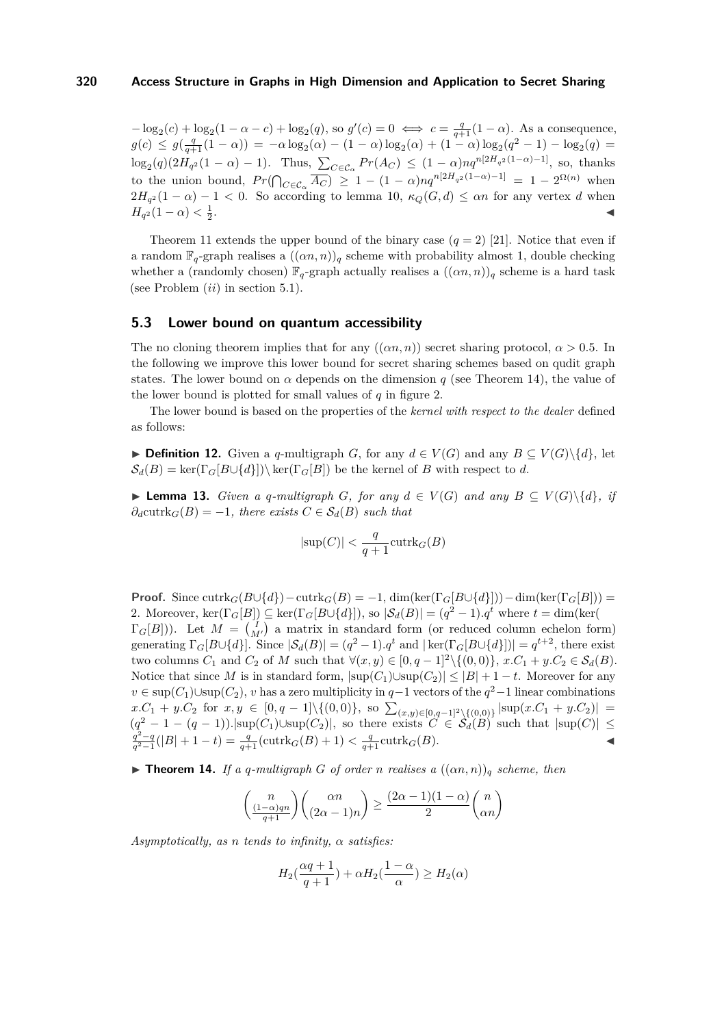$-\log_2(c) + \log_2(1-\alpha-c) + \log_2(q)$ , so  $g'(c) = 0 \iff c = \frac{q}{q+1}(1-\alpha)$ . As a consequence,  $g(c) \leq g(\frac{q}{q+1}(1-\alpha)) = -\alpha \log_2(\alpha) - (1-\alpha) \log_2(\alpha) + (1-\alpha) \log_2(q^2-1) - \log_2(q) =$  $\log_2(q)(2H_{q^2}(1-\alpha)-1)$ . Thus,  $\sum_{C \in \mathcal{C}_{\alpha}} Pr(A_C) \leq (1-\alpha)nq^{n[2H_{q^2}(1-\alpha)-1]}$ , so, thanks to the union bound,  $Pr(\bigcap_{C \in \mathcal{C}_{\alpha}} \overline{A_C}) \geq 1 - (1 - \alpha)nq^{n[2H_{q^2}(1-\alpha)-1]} = 1 - 2^{\Omega(n)}$  when  $2H_{q^2}(1-\alpha) - 1 < 0$ . So according to lemma [10,](#page-11-1)  $\kappa_Q(G,d) \leq \alpha n$  for any vertex *d* when *H*<sub>*q*</sub><sup>2</sup>(1 –  $\alpha$ ) <  $\frac{1}{2}$ . January 1980, and the contract of the contract of the contract of the contract of

Theorem [11](#page-11-0) extends the upper bound of the binary case  $(q = 2)$  [\[21\]](#page-14-2). Notice that even if a random  $\mathbb{F}_q$ -graph realises a  $((\alpha n, n))_q$  scheme with probability almost 1, double checking whether a (randomly chosen)  $\mathbb{F}_q$ -graph actually realises a  $((\alpha n, n))_q$  scheme is a hard task (see Problem (*ii*) in section [5.1\)](#page-10-2).

#### **5.3 Lower bound on quantum accessibility**

The no cloning theorem implies that for any  $((\alpha n, n))$  secret sharing protocol,  $\alpha > 0.5$ . In the following we improve this lower bound for secret sharing schemes based on qudit graph states. The lower bound on  $\alpha$  depends on the dimension *q* (see Theorem [14\)](#page-12-0), the value of the lower bound is plotted for small values of *q* in figure [2.](#page-13-0)

The lower bound is based on the properties of the *kernel with respect to the dealer* defined as follows:

**► Definition 12.** Given a *q*-multigraph *G*, for any  $d \in V(G)$  and any  $B \subset V(G) \setminus \{d\}$ , let  $\mathcal{S}_d(B) = \ker(\Gamma_G[B\cup\{d\})\setminus \ker(\Gamma_G[B])$  be the kernel of *B* with respect to *d*.

<span id="page-12-1"></span>▶ **Lemma 13.** *Given a q-multigraph G, for any*  $d \in V(G)$  *and any*  $B \subseteq V(G) \setminus \{d\}$ *, if*  $\partial_d \text{cutrk}_G(B) = -1$ *, there exists*  $C \in \mathcal{S}_d(B)$  *such that* 

$$
|\text{sup}(C)| < \frac{q}{q+1}\text{cutrk}_G(B)
$$

**Proof.** Since  $\text{cutrk}_G(B\cup\{d\})-\text{cutrk}_G(B)=-1$ ,  $\dim(\ker(\Gamma_G[B\cup\{d\}))-\dim(\ker(\Gamma_G[B]))=$ 2. Moreover,  $\ker(\Gamma_G[B]) \subseteq \ker(\Gamma_G[B\cup\{d\}])$ , so  $|\mathcal{S}_d(B)| = (q^2 - 1) \cdot q^t$  where  $t = \dim(\ker(\{d\})))$  $\Gamma_G[B]$ )). Let  $M = \begin{pmatrix} I \\ M' \end{pmatrix}$  a matrix in standard form (or reduced column echelon form) generating  $\Gamma_G[B\cup\{d\}]$ . Since  $|\mathcal{S}_d(B)| = (q^2 - 1) \cdot q^t$  and  $|\ker(\Gamma_G[B\cup\{d\})]| = q^{t+2}$ , there exist two columns  $C_1$  and  $C_2$  of *M* such that  $\forall (x, y) \in [0, q - 1]^2 \setminus \{(0, 0)\}, x.C_1 + y.C_2 \in S_d(B)$ . Notice that since *M* is in standard form,  $|\text{sup}(C_1) \cup \text{sup}(C_2)| \leq |B| + 1 - t$ . Moreover for any *v* ∈ sup $(C_1)$ ∪sup $(C_2)$ , *v* has a zero multiplicity in *q*−1 vectors of the  $q^2-1$  linear combinations  $x.C_1 + y.C_2$  for  $x, y \in [0, q - 1] \setminus \{(0, 0)\},$  so  $\sum_{(x,y)\in[0,q-1]^2\setminus\{(0,0)\}} |\sup(x.C_1 + y.C_2)|$  $(q^2-1-(q-1))$ . $|\text{sup}(C_1)\cup\text{sup}(C_2)|$ , so there exists  $C \in \mathcal{S}_d(B)$  such that  $|\text{sup}(C)| \leq$  $q^2 - q \choose q^2 - 1} (|B| + 1 - t) = \frac{q}{q+1} (\text{cutrk}_G(B) + 1) < \frac{q}{q+1} \text{cutrk}_G(B).$ 

<span id="page-12-0"></span> $\blacktriangleright$  **Theorem 14.** *If a q-multigraph G of order n realises a*  $((\alpha n, n))_q$  *scheme, then* 

$$
\binom{n}{\frac{(1-\alpha)qn}{q+1}}\binom{\alpha n}{(2\alpha-1)n} \ge \frac{(2\alpha-1)(1-\alpha)}{2}\binom{n}{\alpha n}
$$

*Asymptotically, as n tends to infinity, α satisfies:*

$$
H_2(\frac{\alpha q + 1}{q + 1}) + \alpha H_2(\frac{1 - \alpha}{\alpha}) \ge H_2(\alpha)
$$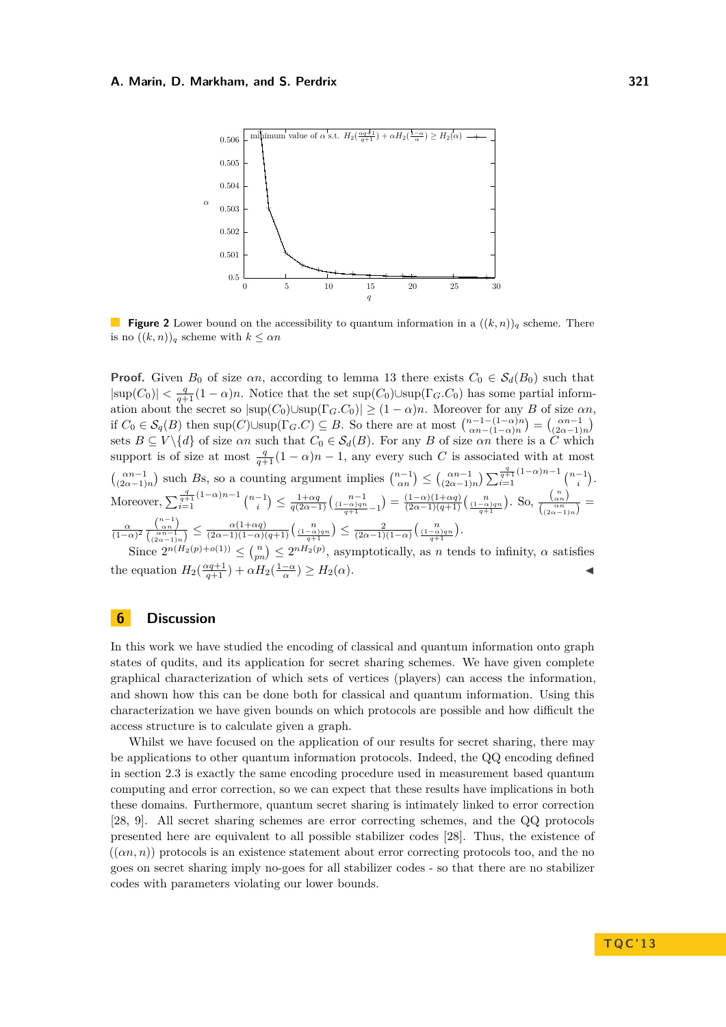<span id="page-13-0"></span>

**Figure 2** Lower bound on the accessibility to quantum information in a  $((k, n))_q$  scheme. There is no  $((k, n))_q$  scheme with  $k \leq \alpha n$ 

**Proof.** Given  $B_0$  of size  $\alpha n$ , according to lemma [13](#page-12-1) there exists  $C_0 \in S_d(B_0)$  such that  $|\text{sup}(C_0)| < \frac{q}{q+1} (1-\alpha)n$ . Notice that the set sup(*C*<sub>0</sub>)∪sup( $\Gamma_G$ *C*<sub>0</sub>) has some partial information about the secret so  $|\sup(C_0) \cup \sup(\Gamma_G.C_0)| \geq (1-\alpha)n$ . Moreover for any *B* of size  $\alpha n$ , if  $C_0 \in \mathcal{S}_q(B)$  then  $\text{sup}(C) \cup \text{sup}(\Gamma_G.C) \subseteq B$ . So there are at most  $\binom{n-1-(1-\alpha)n}{\alpha n-(1-\alpha)n} = \binom{\alpha n-1}{(2\alpha-1)n}$ sets  $B \subseteq V \setminus \{d\}$  of size  $\alpha n$  such that  $C_0 \in S_d(B)$ . For any *B* of size  $\alpha n$  there is a  $\tilde{C}$  which support is of size at most  $\frac{q}{q+1}(1-\alpha)n-1$ , any every such *C* is associated with at most  $\binom{\alpha n-1}{(2\alpha-1)n}$  such *Bs*, so a counting argument implies  $\binom{n-1}{\alpha n} \leq \binom{\alpha n-1}{(2\alpha-1)n} \sum_{i=1}^{\frac{q}{q+1}(1-\alpha)n-1} \binom{n-1}{i}$ . Moreover,  $\sum_{i=1}^{\frac{q}{q+1}(1-\alpha)n-1} {n-1 \choose i} \leq \frac{1+\alpha q}{q(2\alpha-1)} \left(\frac{n-1}{(1-\alpha)qn-1}\right) = \frac{(1-\alpha)(1+\alpha q)}{(2\alpha-1)(q+1)} \left(\frac{n}{(1-\alpha)qn}\right).$  So,  $\frac{{n \choose \alpha n}}{\binom{\alpha n}{(2\alpha-1)}}$  $\frac{\binom{\alpha n}{\alpha n}}{\binom{\alpha n}{(2\alpha-1)n}}$  $\frac{\alpha}{(1-\alpha)^2} \frac{\binom{n-1}{\alpha n}}{\binom{\alpha}{\alpha} \cdots}$  $\frac{\binom{n}{\alpha n}}{\binom{\alpha n-1}{\alpha \alpha -1 \alpha}} \leq \frac{\alpha(1+\alpha q)}{(2\alpha-1)(1-\alpha)(q+1)} \Big(\frac{n}{q+1}\Big) \leq \frac{2}{(2\alpha-1)(1-\alpha)} \Big(\frac{n}{q+1}\Big).$ 

Since  $2^{n(H_2(p)+o(1))} \leq {n \choose pn} \leq 2^{n(H_2(p))}$ , asymptotically, as *n* tends to infinity,  $\alpha$  satisfies the equation  $H_2(\frac{\alpha q+1}{q+1}) + \alpha H_2(\frac{1-\alpha}{\alpha})$  $) \geq H_2(\alpha).$ 

## **6 Discussion**

In this work we have studied the encoding of classical and quantum information onto graph states of qudits, and its application for secret sharing schemes. We have given complete graphical characterization of which sets of vertices (players) can access the information, and shown how this can be done both for classical and quantum information. Using this characterization we have given bounds on which protocols are possible and how difficult the access structure is to calculate given a graph.

Whilst we have focused on the application of our results for secret sharing, there may be applications to other quantum information protocols. Indeed, the QQ encoding defined in section [2.3](#page-3-0) is exactly the same encoding procedure used in measurement based quantum computing and error correction, so we can expect that these results have implications in both these domains. Furthermore, quantum secret sharing is intimately linked to error correction [\[28,](#page-15-3) [9\]](#page-14-1). All secret sharing schemes are error correcting schemes, and the QQ protocols presented here are equivalent to all possible stabilizer codes [\[28\]](#page-15-3). Thus, the existence of  $((\alpha n, n))$  protocols is an existence statement about error correcting protocols too, and the no goes on secret sharing imply no-goes for all stabilizer codes - so that there are no stabilizer codes with parameters violating our lower bounds.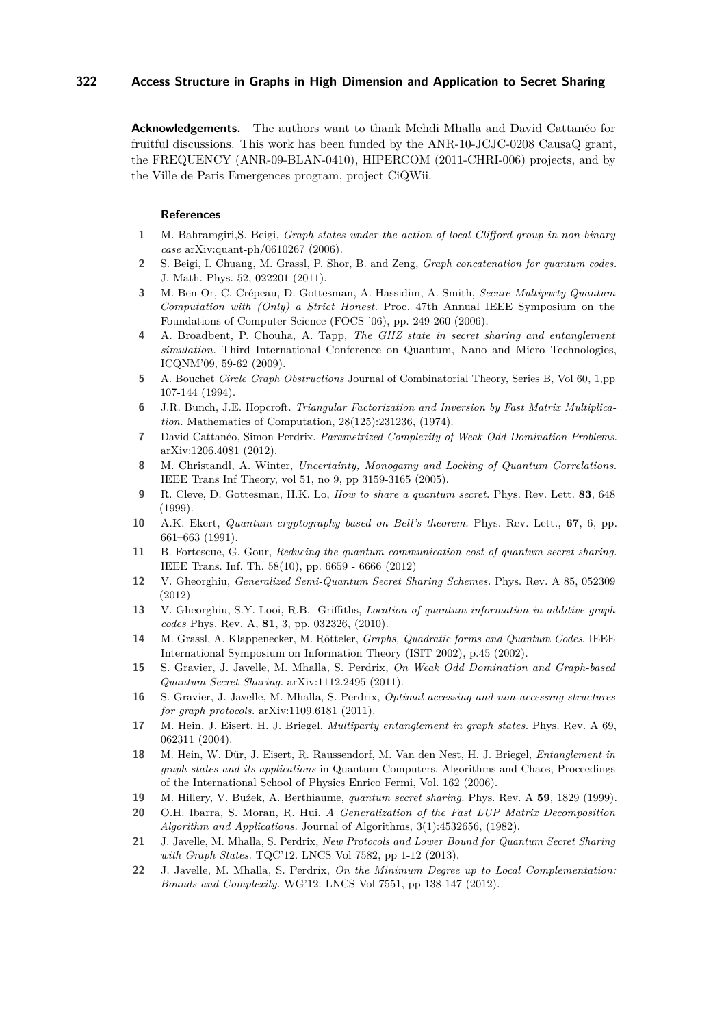**Acknowledgements.** The authors want to thank Mehdi Mhalla and David Cattanéo for fruitful discussions. This work has been funded by the ANR-10-JCJC-0208 CausaQ grant, the FREQUENCY (ANR-09-BLAN-0410), HIPERCOM (2011-CHRI-006) projects, and by the Ville de Paris Emergences program, project CiQWii.

#### **References**

- <span id="page-14-4"></span>**1** M. Bahramgiri,S. Beigi, *Graph states under the action of local Clifford group in non-binary case* arXiv:quant-ph/0610267 (2006).
- <span id="page-14-14"></span>**2** S. Beigi, I. Chuang, M. Grassl, P. Shor, B. and Zeng, *Graph concatenation for quantum codes.* J. Math. Phys. 52, 022201 (2011).
- **3** M. Ben-Or, C. Crépeau, D. Gottesman, A. Hassidim, A. Smith, *Secure Multiparty Quantum Computation with (Only) a Strict Honest.* Proc. 47th Annual IEEE Symposium on the Foundations of Computer Science (FOCS '06), pp. 249-260 (2006).
- <span id="page-14-7"></span>**4** A. Broadbent, P. Chouha, A. Tapp, *The GHZ state in secret sharing and entanglement simulation.* Third International Conference on Quantum, Nano and Micro Technologies, ICQNM'09, 59-62 (2009).
- <span id="page-14-5"></span>**5** A. Bouchet *Circle Graph Obstructions* Journal of Combinatorial Theory, Series B, Vol 60, 1,pp 107-144 (1994).
- <span id="page-14-10"></span>**6** J.R. Bunch, J.E. Hopcroft. *Triangular Factorization and Inversion by Fast Matrix Multiplication.* Mathematics of Computation, 28(125):231236, (1974).
- <span id="page-14-12"></span>**7** David Cattanéo, Simon Perdrix. *Parametrized Complexity of Weak Odd Domination Problems*. arXiv:1206.4081 (2012).
- **8** M. Christandl, A. Winter, *Uncertainty, Monogamy and Locking of Quantum Correlations.* IEEE Trans Inf Theory, vol 51, no 9, pp 3159-3165 (2005).
- <span id="page-14-1"></span>**9** R. Cleve, D. Gottesman, H.K. Lo, *How to share a quantum secret.* Phys. Rev. Lett. **83**, 648 (1999).
- **10** A.K. Ekert, *Quantum cryptography based on Bell's theorem.* Phys. Rev. Lett., **67**, 6, pp. 661–663 (1991).
- <span id="page-14-8"></span>**11** B. Fortescue, G. Gour, *Reducing the quantum communication cost of quantum secret sharing.* IEEE Trans. Inf. Th. 58(10), pp. 6659 - 6666 (2012)
- <span id="page-14-9"></span>**12** V. Gheorghiu, *Generalized Semi-Quantum Secret Sharing Schemes.* Phys. Rev. A 85, 052309 (2012)
- <span id="page-14-13"></span>**13** V. Gheorghiu, S.Y. Looi, R.B. Griffiths, *Location of quantum information in additive graph codes* Phys. Rev. A, **81**, 3, pp. 032326, (2010).
- <span id="page-14-3"></span>**14** M. Grassl, A. Klappenecker, M. Rötteler, *Graphs, Quadratic forms and Quantum Codes*, IEEE International Symposium on Information Theory (ISIT 2002), p.45 (2002).
- **15** S. Gravier, J. Javelle, M. Mhalla, S. Perdrix, *On Weak Odd Domination and Graph-based Quantum Secret Sharing.* arXiv:1112.2495 (2011).
- **16** S. Gravier, J. Javelle, M. Mhalla, S. Perdrix, *Optimal accessing and non-accessing structures for graph protocols.* arXiv:1109.6181 (2011).
- <span id="page-14-6"></span>**17** M. Hein, J. Eisert, H. J. Briegel. *Multiparty entanglement in graph states.* Phys. Rev. A 69, 062311 (2004).
- **18** M. Hein, W. Dür, J. Eisert, R. Raussendorf, M. Van den Nest, H. J. Briegel, *Entanglement in graph states and its applications* in Quantum Computers, Algorithms and Chaos, Proceedings of the International School of Physics Enrico Fermi, Vol. 162 (2006).
- <span id="page-14-0"></span>**19** M. Hillery, V. Bužek, A. Berthiaume, *quantum secret sharing.* Phys. Rev. A **59**, 1829 (1999).
- <span id="page-14-11"></span>**20** O.H. Ibarra, S. Moran, R. Hui. *A Generalization of the Fast LUP Matrix Decomposition Algorithm and Applications.* Journal of Algorithms, 3(1):4532656, (1982).
- <span id="page-14-2"></span>**21** J. Javelle, M. Mhalla, S. Perdrix, *New Protocols and Lower Bound for Quantum Secret Sharing with Graph States.* TQC'12. LNCS Vol 7582, pp 1-12 (2013).
- **22** J. Javelle, M. Mhalla, S. Perdrix, *On the Minimum Degree up to Local Complementation: Bounds and Complexity.* WG'12. LNCS Vol 7551, pp 138-147 (2012).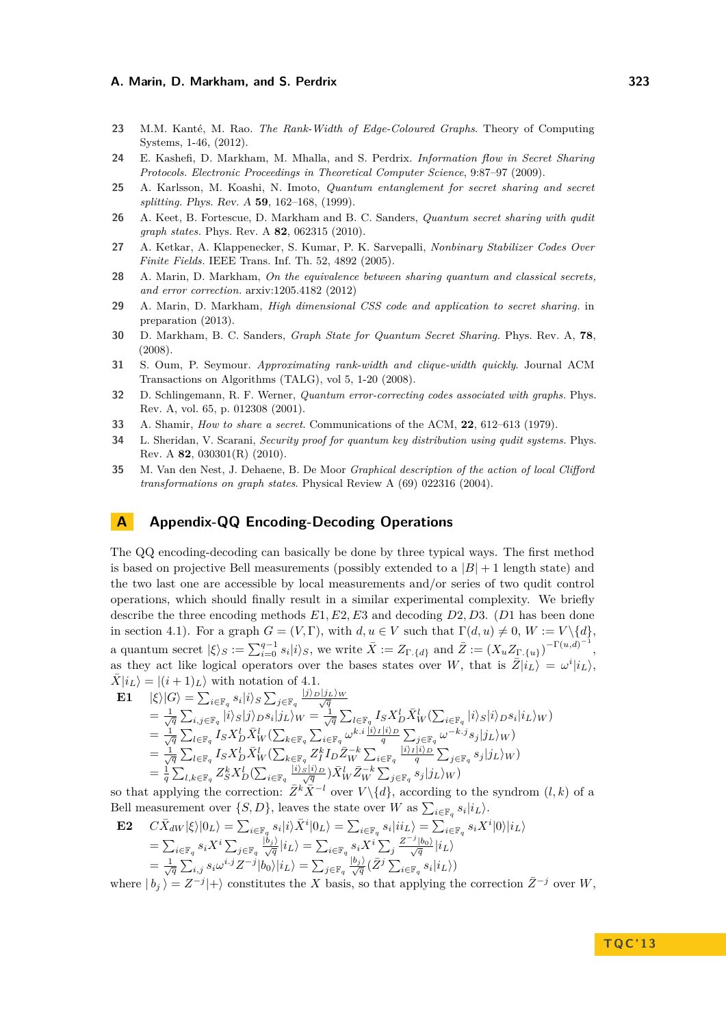- <span id="page-15-7"></span>**23** M.M. Kanté, M. Rao. *The Rank-Width of Edge-Coloured Graphs*. Theory of Computing Systems, 1-46, (2012).
- <span id="page-15-4"></span>**24** E. Kashefi, D. Markham, M. Mhalla, and S. Perdrix. *Information flow in Secret Sharing Protocols. Electronic Proceedings in Theoretical Computer Science*, 9:87–97 (2009).
- **25** A. Karlsson, M. Koashi, N. Imoto, *Quantum entanglement for secret sharing and secret splitting.* Phys. Rev. A **59**, 162–168, (1999).
- <span id="page-15-2"></span>**26** A. Keet, B. Fortescue, D. Markham and B. C. Sanders, *Quantum secret sharing with qudit graph states.* Phys. Rev. A **82**, 062315 (2010).
- <span id="page-15-6"></span>**27** A. Ketkar, A. Klappenecker, S. Kumar, P. K. Sarvepalli, *Nonbinary Stabilizer Codes Over Finite Fields.* IEEE Trans. Inf. Th. 52, 4892 (2005).
- <span id="page-15-3"></span>**28** A. Marin, D. Markham, *On the equivalence between sharing quantum and classical secrets, and error correction.* arxiv:1205.4182 (2012)
- <span id="page-15-11"></span>**29** A. Marin, D. Markham, *High dimensional CSS code and application to secret sharing.* in preparation (2013).
- <span id="page-15-1"></span>**30** D. Markham, B. C. Sanders, *Graph State for Quantum Secret Sharing.* Phys. Rev. A, **78**, (2008).
- <span id="page-15-9"></span>**31** S. Oum, P. Seymour. *Approximating rank-width and clique-width quickly*. Journal ACM Transactions on Algorithms (TALG), vol 5, 1-20 (2008).
- <span id="page-15-5"></span>**32** D. Schlingemann, R. F. Werner, *Quantum error-correcting codes associated with graphs.* Phys. Rev. A, vol. 65, p. 012308 (2001).
- <span id="page-15-0"></span>**33** A. Shamir, *How to share a secret*. Communications of the ACM, **22**, 612–613 (1979).
- <span id="page-15-12"></span>**34** L. Sheridan, V. Scarani, *Security proof for quantum key distribution using qudit systems.* Phys. Rev. A **82**, 030301(R) (2010).
- <span id="page-15-8"></span>**35** M. Van den Nest, J. Dehaene, B. De Moor *Graphical description of the action of local Clifford transformations on graph states*. Physical Review A (69) 022316 (2004).

## <span id="page-15-10"></span>**A Appendix-QQ Encoding-Decoding Operations**

The QQ encoding-decoding can basically be done by three typical ways. The first method is based on projective Bell measurements (possibly extended to a  $|B| + 1$  length state) and the two last one are accessible by local measurements and/or series of two qudit control operations, which should finally result in a similar experimental complexity. We briefly describe the three encoding methods *E*1*, E*2*, E*3 and decoding *D*2*, D*3. (*D*1 has been done in section [4.1\)](#page-6-2). For a graph  $G = (V, \Gamma)$ , with  $d, u \in V$  such that  $\Gamma(d, u) \neq 0$ ,  $W := V \setminus \{d\}$ , a quantum secret  $|\xi\rangle_S := \sum_{i=0}^{q-1} s_i |i\rangle_S$ , we write  $\overline{X} := Z_{\Gamma_{\cdot}}\{d\}$  and  $\overline{Z} := (X_u Z_{\Gamma_{\cdot}}\{u\})^{-\Gamma(u,d)^{-1}},$ as they act like logical operators over the bases states over *W*, that is  $\overline{Z}|i_L\rangle = \omega^i|i_L\rangle$ ,  $X|i_L\rangle = |(i+1)_L\rangle$  with notation of [4.1.](#page-6-2)

E1 
$$
|\xi\rangle|G\rangle = \sum_{i\in\mathbb{F}_q} s_i|i\rangle_S \sum_{j\in\mathbb{F}_q} \frac{|j\rangle_D|j_L\rangle_W}{\sqrt{q}}
$$
  
\n
$$
= \frac{1}{\sqrt{q}} \sum_{i,j\in\mathbb{F}_q} |i\rangle_S|j\rangle_D s_i|j_L\rangle_W = \frac{1}{\sqrt{q}} \sum_{l\in\mathbb{F}_q} I_S X_D^l \bar{X}_W^l (\sum_{i\in\mathbb{F}_q} |i\rangle_S|i\rangle_D s_i|i_L\rangle_W)
$$
  
\n
$$
= \frac{1}{\sqrt{q}} \sum_{l\in\mathbb{F}_q} I_S X_D^l \bar{X}_W^l (\sum_{k\in\mathbb{F}_q} \sum_{i\in\mathbb{F}_q} \omega^{k.i} \frac{|i\rangle_I|i\rangle_D}{q} \sum_{j\in\mathbb{F}_q} \omega^{-k.j} s_j|j_L\rangle_W)
$$
  
\n
$$
= \frac{1}{\sqrt{q}} \sum_{l\in\mathbb{F}_q} I_S X_D^l \bar{X}_W^l (\sum_{k\in\mathbb{F}_q} Z_I^k I_D \bar{Z}_W^l \sum_{i\in\mathbb{F}_q} \frac{|i\rangle_S|i\rangle_D}{q} \sum_{j\in\mathbb{F}_q} \omega^{-k.j} s_j|j_L\rangle_W)
$$
  
\n
$$
= \frac{1}{q} \sum_{l,k\in\mathbb{F}_q} Z_S^k X_D^l (\sum_{i\in\mathbb{F}_q} \frac{|i\rangle_S|i\rangle_D}{q} \bar{X}_W^l \bar{Z}_W^{-k} \sum_{j\in\mathbb{F}_q} s_j|j_L\rangle_W)
$$

so that applying the correction:  $\bar{Z}^k \bar{X}^{-l}$  over  $V \setminus \{d\}$ , according to the syndrom  $(l, k)$  of a Bell measurement over  $\{S, D\}$ , leaves the state over *W* as  $\sum_{i \in \mathbb{F}_q} s_i | i_L \rangle$ .

$$
\begin{array}{ll} \mathbf{E2} & C\bar{X}_{dW}|\xi\rangle|0_L\rangle = \sum_{i\in\mathbb{F}_q} s_i|i\rangle \bar{X}^i|0_L\rangle = \sum_{i\in\mathbb{F}_q} s_i|i i_L\rangle = \sum_{i\in\mathbb{F}_q} s_i X^i|0\rangle|i_L\rangle\\ & = \sum_{i\in\mathbb{F}_q} s_i X^i \sum_{j\in\mathbb{F}_q} \frac{|b_j\rangle}{\sqrt{q}}|i_L\rangle = \sum_{i\in\mathbb{F}_q} s_i X^i \sum_{j} \frac{Z^{-j}|b_0\rangle}{\sqrt{q}}|i_L\rangle\\ & = \frac{1}{\sqrt{q}} \sum_{i,j} s_i \omega^{i,j} Z^{-j}|b_0\rangle|i_L\rangle = \sum_{j\in\mathbb{F}_q} \frac{|b_j\rangle}{\sqrt{q}} (\bar{Z}^j \sum_{i\in\mathbb{F}_q} s_i|i_L\rangle) \end{array}
$$

where  $|b_j\rangle = Z^{-j}|+\rangle$  constitutes the *X* basis, so that applying the correction  $\bar{Z}^{-j}$  over *W*,